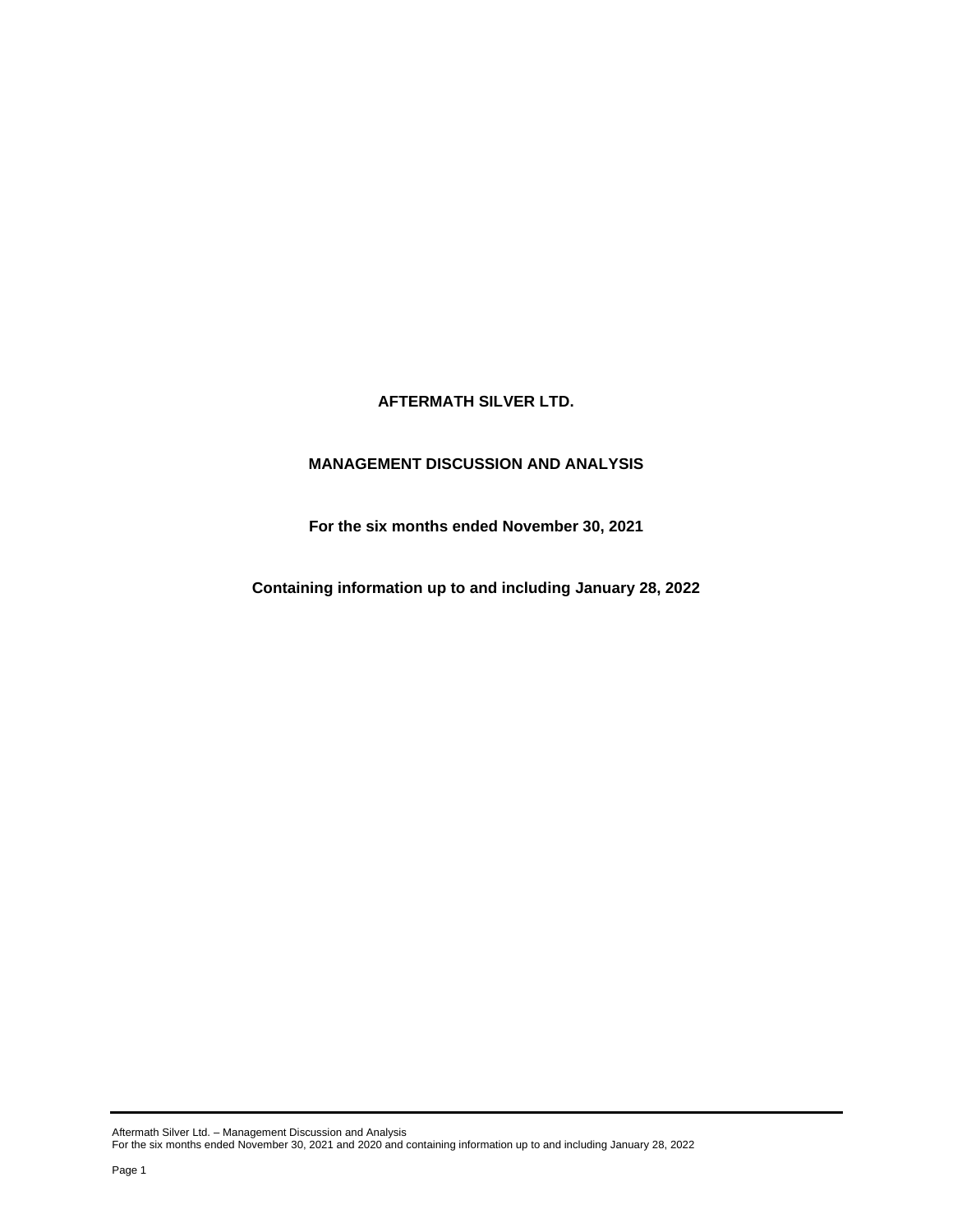# **AFTERMATH SILVER LTD.**

# **MANAGEMENT DISCUSSION AND ANALYSIS**

**For the six months ended November 30, 2021**

**Containing information up to and including January 28, 2022**

Aftermath Silver Ltd. – Management Discussion and Analysis For the six months ended November 30, 2021 and 2020 and containing information up to and including January 28, 2022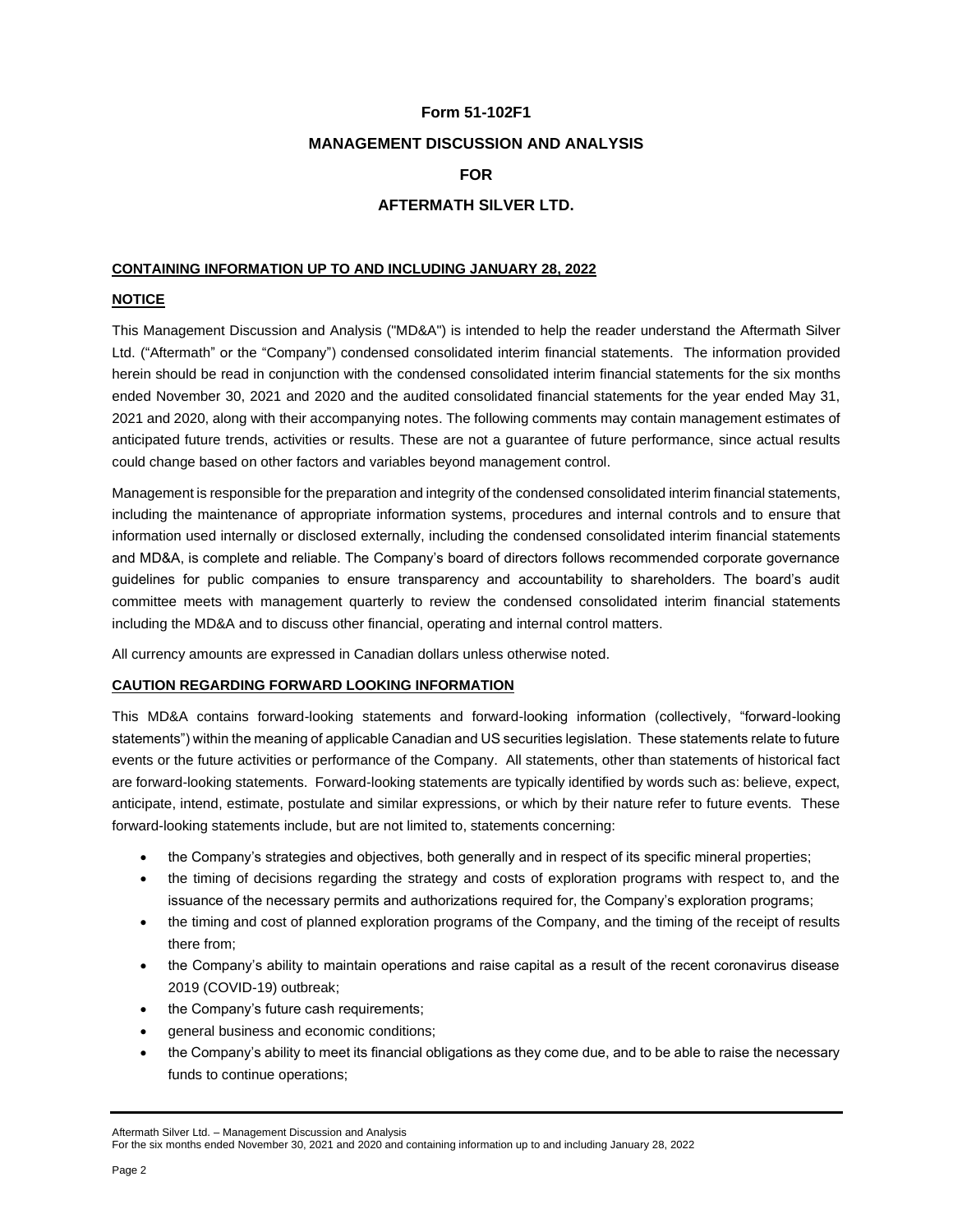### **Form 51-102F1**

### **MANAGEMENT DISCUSSION AND ANALYSIS**

### **FOR**

# **AFTERMATH SILVER LTD.**

### **CONTAINING INFORMATION UP TO AND INCLUDING JANUARY 28, 2022**

### **NOTICE**

This Management Discussion and Analysis ("MD&A") is intended to help the reader understand the Aftermath Silver Ltd. ("Aftermath" or the "Company") condensed consolidated interim financial statements. The information provided herein should be read in conjunction with the condensed consolidated interim financial statements for the six months ended November 30, 2021 and 2020 and the audited consolidated financial statements for the year ended May 31, 2021 and 2020, along with their accompanying notes. The following comments may contain management estimates of anticipated future trends, activities or results. These are not a guarantee of future performance, since actual results could change based on other factors and variables beyond management control.

Management is responsible for the preparation and integrity of the condensed consolidated interim financial statements, including the maintenance of appropriate information systems, procedures and internal controls and to ensure that information used internally or disclosed externally, including the condensed consolidated interim financial statements and MD&A, is complete and reliable. The Company's board of directors follows recommended corporate governance guidelines for public companies to ensure transparency and accountability to shareholders. The board's audit committee meets with management quarterly to review the condensed consolidated interim financial statements including the MD&A and to discuss other financial, operating and internal control matters.

All currency amounts are expressed in Canadian dollars unless otherwise noted.

### **CAUTION REGARDING FORWARD LOOKING INFORMATION**

This MD&A contains forward-looking statements and forward-looking information (collectively, "forward-looking statements") within the meaning of applicable Canadian and US securities legislation. These statements relate to future events or the future activities or performance of the Company. All statements, other than statements of historical fact are forward-looking statements. Forward-looking statements are typically identified by words such as: believe, expect, anticipate, intend, estimate, postulate and similar expressions, or which by their nature refer to future events. These forward-looking statements include, but are not limited to, statements concerning:

- the Company's strategies and objectives, both generally and in respect of its specific mineral properties;
- the timing of decisions regarding the strategy and costs of exploration programs with respect to, and the issuance of the necessary permits and authorizations required for, the Company's exploration programs;
- the timing and cost of planned exploration programs of the Company, and the timing of the receipt of results there from;
- the Company's ability to maintain operations and raise capital as a result of the recent coronavirus disease 2019 (COVID-19) outbreak;
- the Company's future cash requirements;
- general business and economic conditions;
- the Company's ability to meet its financial obligations as they come due, and to be able to raise the necessary funds to continue operations;

Aftermath Silver Ltd. – Management Discussion and Analysis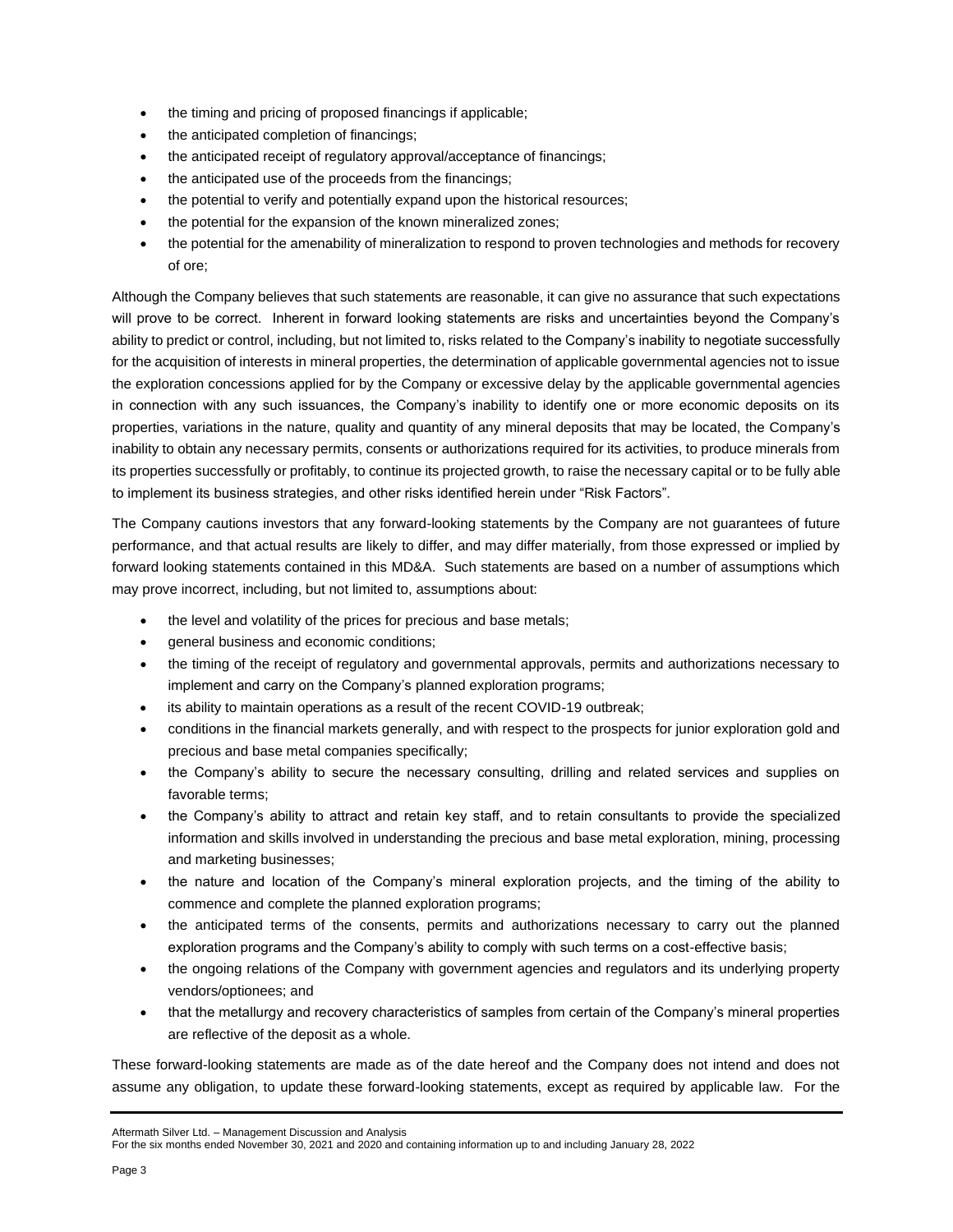- the timing and pricing of proposed financings if applicable;
- the anticipated completion of financings;
- the anticipated receipt of regulatory approval/acceptance of financings;
- the anticipated use of the proceeds from the financings;
- the potential to verify and potentially expand upon the historical resources;
- the potential for the expansion of the known mineralized zones;
- the potential for the amenability of mineralization to respond to proven technologies and methods for recovery of ore;

Although the Company believes that such statements are reasonable, it can give no assurance that such expectations will prove to be correct. Inherent in forward looking statements are risks and uncertainties beyond the Company's ability to predict or control, including, but not limited to, risks related to the Company's inability to negotiate successfully for the acquisition of interests in mineral properties, the determination of applicable governmental agencies not to issue the exploration concessions applied for by the Company or excessive delay by the applicable governmental agencies in connection with any such issuances, the Company's inability to identify one or more economic deposits on its properties, variations in the nature, quality and quantity of any mineral deposits that may be located, the Company's inability to obtain any necessary permits, consents or authorizations required for its activities, to produce minerals from its properties successfully or profitably, to continue its projected growth, to raise the necessary capital or to be fully able to implement its business strategies, and other risks identified herein under "Risk Factors".

The Company cautions investors that any forward-looking statements by the Company are not guarantees of future performance, and that actual results are likely to differ, and may differ materially, from those expressed or implied by forward looking statements contained in this MD&A. Such statements are based on a number of assumptions which may prove incorrect, including, but not limited to, assumptions about:

- the level and volatility of the prices for precious and base metals;
- general business and economic conditions;
- the timing of the receipt of regulatory and governmental approvals, permits and authorizations necessary to implement and carry on the Company's planned exploration programs;
- its ability to maintain operations as a result of the recent COVID-19 outbreak;
- conditions in the financial markets generally, and with respect to the prospects for junior exploration gold and precious and base metal companies specifically;
- the Company's ability to secure the necessary consulting, drilling and related services and supplies on favorable terms;
- the Company's ability to attract and retain key staff, and to retain consultants to provide the specialized information and skills involved in understanding the precious and base metal exploration, mining, processing and marketing businesses;
- the nature and location of the Company's mineral exploration projects, and the timing of the ability to commence and complete the planned exploration programs;
- the anticipated terms of the consents, permits and authorizations necessary to carry out the planned exploration programs and the Company's ability to comply with such terms on a cost-effective basis;
- the ongoing relations of the Company with government agencies and regulators and its underlying property vendors/optionees; and
- that the metallurgy and recovery characteristics of samples from certain of the Company's mineral properties are reflective of the deposit as a whole.

These forward-looking statements are made as of the date hereof and the Company does not intend and does not assume any obligation, to update these forward-looking statements, except as required by applicable law. For the

```
Aftermath Silver Ltd. – Management Discussion and Analysis
```

```
For the six months ended November 30, 2021 and 2020 and containing information up to and including January 28, 2022
```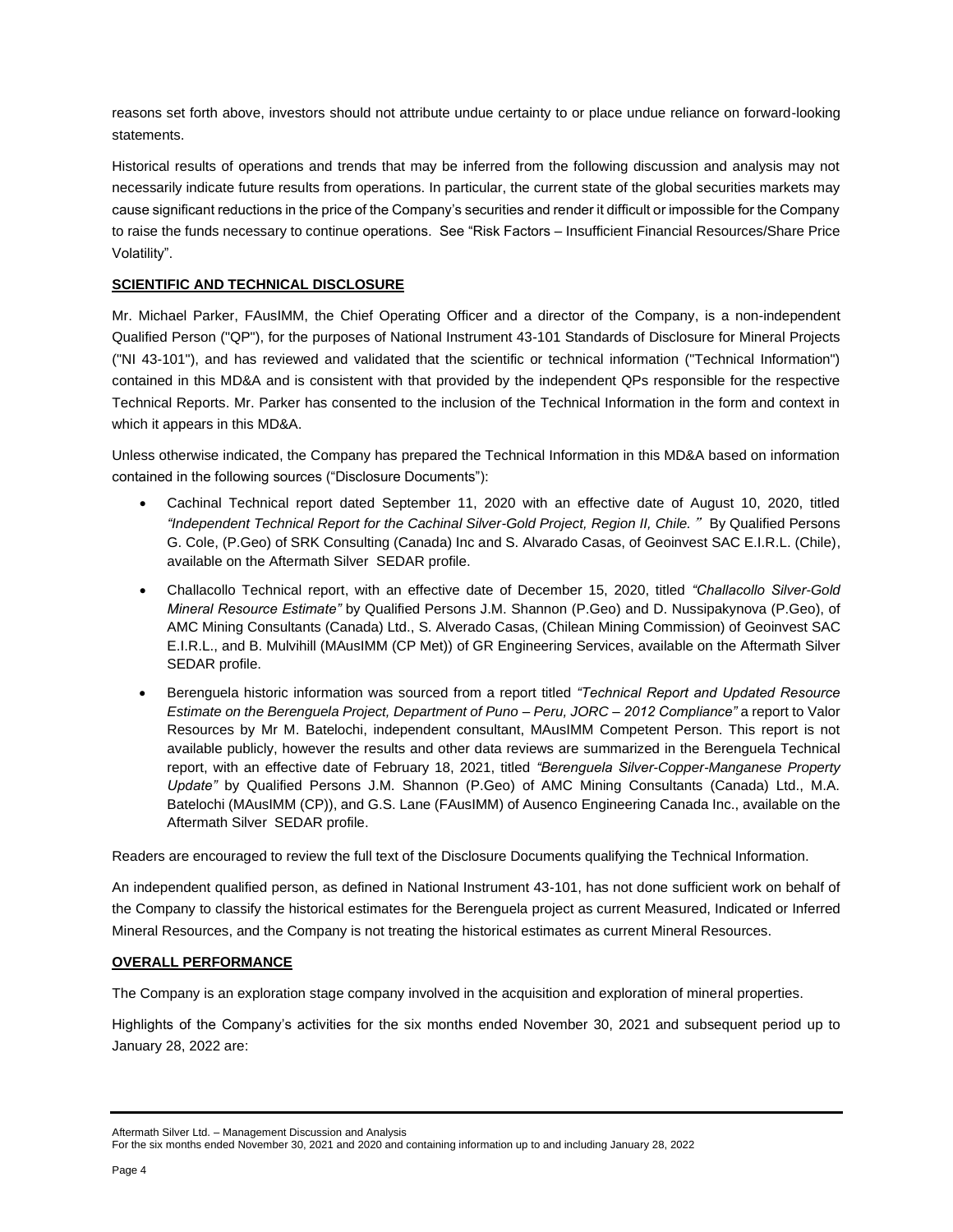reasons set forth above, investors should not attribute undue certainty to or place undue reliance on forward-looking statements.

Historical results of operations and trends that may be inferred from the following discussion and analysis may not necessarily indicate future results from operations. In particular, the current state of the global securities markets may cause significant reductions in the price of the Company's securities and render it difficult or impossible for the Company to raise the funds necessary to continue operations. See "Risk Factors – Insufficient Financial Resources/Share Price Volatility".

### **SCIENTIFIC AND TECHNICAL DISCLOSURE**

Mr. Michael Parker, FAusIMM, the Chief Operating Officer and a director of the Company, is a non-independent Qualified Person ("QP"), for the purposes of National Instrument 43-101 Standards of Disclosure for Mineral Projects ("NI 43-101"), and has reviewed and validated that the scientific or technical information ("Technical Information") contained in this MD&A and is consistent with that provided by the independent QPs responsible for the respective Technical Reports. Mr. Parker has consented to the inclusion of the Technical Information in the form and context in which it appears in this MD&A.

Unless otherwise indicated, the Company has prepared the Technical Information in this MD&A based on information contained in the following sources ("Disclosure Documents"):

- Cachinal Technical report dated September 11, 2020 with an effective date of August 10, 2020, titled *"Independent Technical Report for the Cachinal Silver-Gold Project, Region II, Chile.*" By Qualified Persons G. Cole, (P.Geo) of SRK Consulting (Canada) Inc and S. Alvarado Casas, of Geoinvest SAC E.I.R.L. (Chile), available on the Aftermath Silver SEDAR profile.
- Challacollo Technical report, with an effective date of December 15, 2020, titled *"Challacollo Silver-Gold Mineral Resource Estimate"* by Qualified Persons J.M. Shannon (P.Geo) and D. Nussipakynova (P.Geo), of AMC Mining Consultants (Canada) Ltd., S. Alverado Casas, (Chilean Mining Commission) of Geoinvest SAC E.I.R.L., and B. Mulvihill (MAusIMM (CP Met)) of GR Engineering Services, available on the Aftermath Silver SEDAR profile.
- Berenguela historic information was sourced from a report titled *"Technical Report and Updated Resource Estimate on the Berenguela Project, Department of Puno – Peru, JORC – 2012 Compliance"* a report to Valor Resources by Mr M. Batelochi, independent consultant, MAusIMM Competent Person. This report is not available publicly, however the results and other data reviews are summarized in the Berenguela Technical report, with an effective date of February 18, 2021, titled *"Berenguela Silver-Copper-Manganese Property Update"* by Qualified Persons J.M. Shannon (P.Geo) of AMC Mining Consultants (Canada) Ltd., M.A. Batelochi (MAusIMM (CP)), and G.S. Lane (FAusIMM) of Ausenco Engineering Canada Inc., available on the Aftermath Silver SEDAR profile.

Readers are encouraged to review the full text of the Disclosure Documents qualifying the Technical Information.

An independent qualified person, as defined in National Instrument 43-101, has not done sufficient work on behalf of the Company to classify the historical estimates for the Berenguela project as current Measured, Indicated or Inferred Mineral Resources, and the Company is not treating the historical estimates as current Mineral Resources.

### **OVERALL PERFORMANCE**

The Company is an exploration stage company involved in the acquisition and exploration of mineral properties.

Highlights of the Company's activities for the six months ended November 30, 2021 and subsequent period up to January 28, 2022 are:

Aftermath Silver Ltd. – Management Discussion and Analysis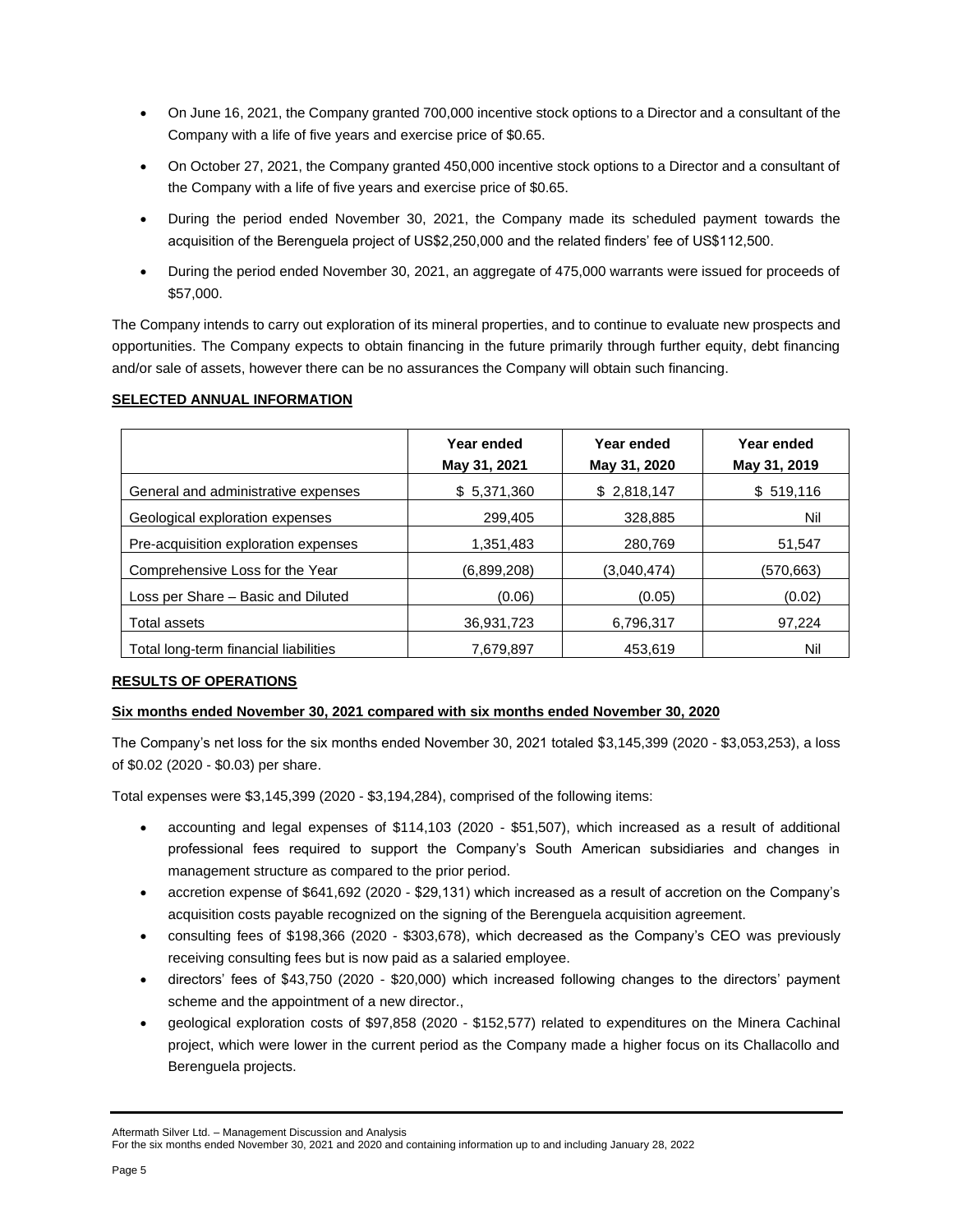- On June 16, 2021, the Company granted 700,000 incentive stock options to a Director and a consultant of the Company with a life of five years and exercise price of \$0.65.
- On October 27, 2021, the Company granted 450,000 incentive stock options to a Director and a consultant of the Company with a life of five years and exercise price of \$0.65.
- During the period ended November 30, 2021, the Company made its scheduled payment towards the acquisition of the Berenguela project of US\$2,250,000 and the related finders' fee of US\$112,500.
- During the period ended November 30, 2021, an aggregate of 475,000 warrants were issued for proceeds of \$57,000.

The Company intends to carry out exploration of its mineral properties, and to continue to evaluate new prospects and opportunities. The Company expects to obtain financing in the future primarily through further equity, debt financing and/or sale of assets, however there can be no assurances the Company will obtain such financing.

### **SELECTED ANNUAL INFORMATION**

|                                       | Year ended<br>May 31, 2021 | Year ended<br>May 31, 2020 | Year ended<br>May 31, 2019 |
|---------------------------------------|----------------------------|----------------------------|----------------------------|
| General and administrative expenses   | \$5,371,360                | \$2,818,147                | \$519,116                  |
| Geological exploration expenses       | 299,405                    | 328,885                    | Nil                        |
| Pre-acquisition exploration expenses  | 1,351,483                  | 280,769                    | 51.547                     |
| Comprehensive Loss for the Year       | (6,899,208)                | (3,040,474)                | (570,663)                  |
| Loss per Share - Basic and Diluted    | (0.06)                     | (0.05)                     | (0.02)                     |
| Total assets                          | 36,931,723                 | 6,796,317                  | 97,224                     |
| Total long-term financial liabilities | 7.679.897                  | 453.619                    | Nil                        |

### **RESULTS OF OPERATIONS**

### **Six months ended November 30, 2021 compared with six months ended November 30, 2020**

The Company's net loss for the six months ended November 30, 2021 totaled \$3,145,399 (2020 - \$3,053,253), a loss of \$0.02 (2020 - \$0.03) per share.

Total expenses were \$3,145,399 (2020 - \$3,194,284), comprised of the following items:

- accounting and legal expenses of \$114,103 (2020 \$51,507), which increased as a result of additional professional fees required to support the Company's South American subsidiaries and changes in management structure as compared to the prior period.
- accretion expense of \$641,692 (2020 \$29,131) which increased as a result of accretion on the Company's acquisition costs payable recognized on the signing of the Berenguela acquisition agreement.
- consulting fees of \$198,366 (2020 \$303,678), which decreased as the Company's CEO was previously receiving consulting fees but is now paid as a salaried employee.
- directors' fees of \$43,750 (2020 \$20,000) which increased following changes to the directors' payment scheme and the appointment of a new director.,
- geological exploration costs of \$97,858 (2020 \$152,577) related to expenditures on the Minera Cachinal project, which were lower in the current period as the Company made a higher focus on its Challacollo and Berenguela projects.

Aftermath Silver Ltd. – Management Discussion and Analysis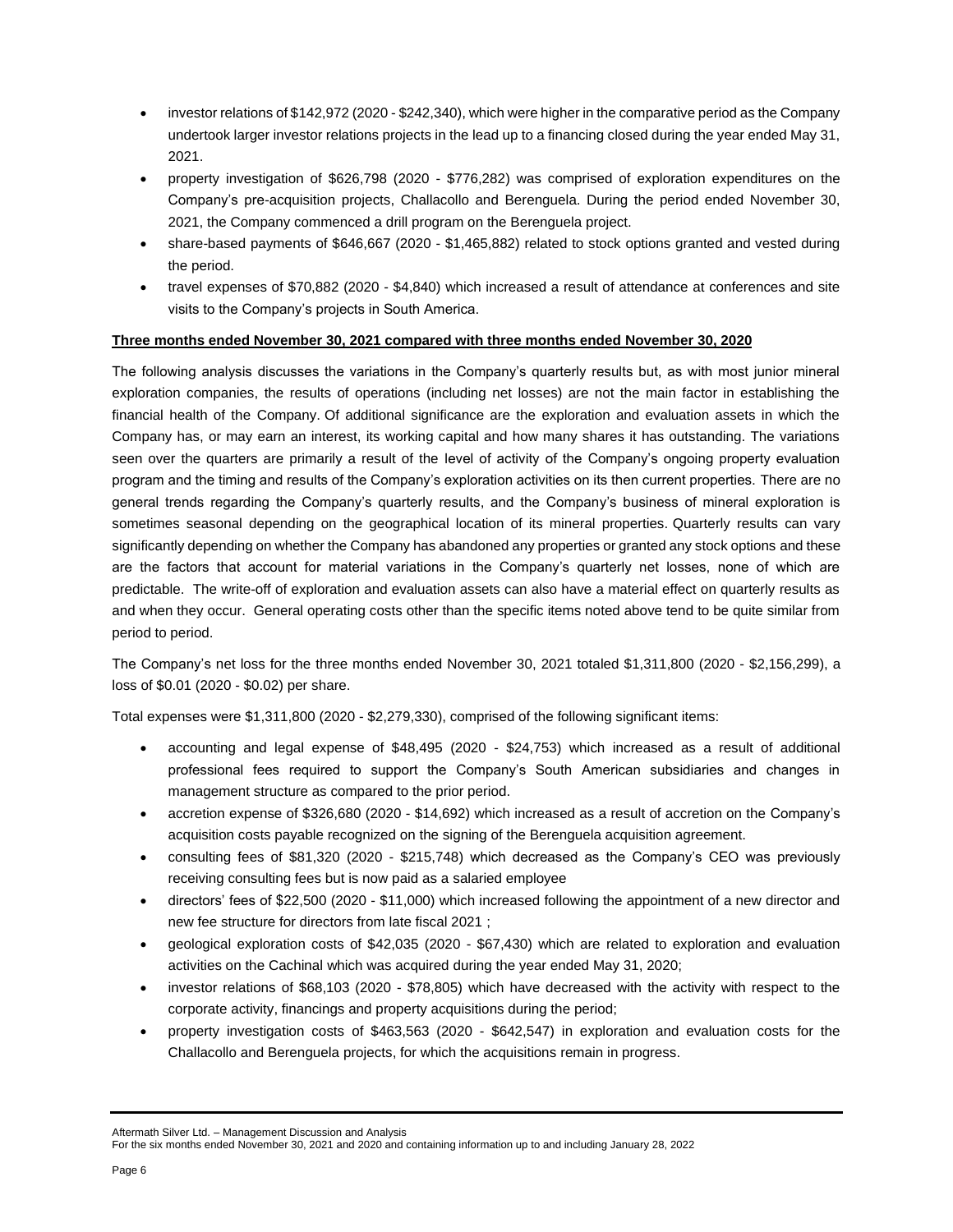- investor relations of \$142,972 (2020 \$242,340), which were higher in the comparative period as the Company undertook larger investor relations projects in the lead up to a financing closed during the year ended May 31, 2021.
- property investigation of \$626,798 (2020 \$776,282) was comprised of exploration expenditures on the Company's pre-acquisition projects, Challacollo and Berenguela. During the period ended November 30, 2021, the Company commenced a drill program on the Berenguela project.
- share-based payments of \$646,667 (2020 \$1,465,882) related to stock options granted and vested during the period.
- travel expenses of \$70,882 (2020 \$4,840) which increased a result of attendance at conferences and site visits to the Company's projects in South America.

### **Three months ended November 30, 2021 compared with three months ended November 30, 2020**

The following analysis discusses the variations in the Company's quarterly results but, as with most junior mineral exploration companies, the results of operations (including net losses) are not the main factor in establishing the financial health of the Company. Of additional significance are the exploration and evaluation assets in which the Company has, or may earn an interest, its working capital and how many shares it has outstanding. The variations seen over the quarters are primarily a result of the level of activity of the Company's ongoing property evaluation program and the timing and results of the Company's exploration activities on its then current properties. There are no general trends regarding the Company's quarterly results, and the Company's business of mineral exploration is sometimes seasonal depending on the geographical location of its mineral properties. Quarterly results can vary significantly depending on whether the Company has abandoned any properties or granted any stock options and these are the factors that account for material variations in the Company's quarterly net losses, none of which are predictable. The write-off of exploration and evaluation assets can also have a material effect on quarterly results as and when they occur. General operating costs other than the specific items noted above tend to be quite similar from period to period.

The Company's net loss for the three months ended November 30, 2021 totaled \$1,311,800 (2020 - \$2,156,299), a loss of \$0.01 (2020 - \$0.02) per share.

Total expenses were \$1,311,800 (2020 - \$2,279,330), comprised of the following significant items:

- accounting and legal expense of \$48,495 (2020 \$24,753) which increased as a result of additional professional fees required to support the Company's South American subsidiaries and changes in management structure as compared to the prior period.
- accretion expense of \$326,680 (2020 \$14,692) which increased as a result of accretion on the Company's acquisition costs payable recognized on the signing of the Berenguela acquisition agreement.
- consulting fees of \$81,320 (2020 \$215,748) which decreased as the Company's CEO was previously receiving consulting fees but is now paid as a salaried employee
- directors' fees of \$22,500 (2020 \$11,000) which increased following the appointment of a new director and new fee structure for directors from late fiscal 2021 ;
- geological exploration costs of \$42,035 (2020 \$67,430) which are related to exploration and evaluation activities on the Cachinal which was acquired during the year ended May 31, 2020;
- investor relations of \$68,103 (2020 \$78,805) which have decreased with the activity with respect to the corporate activity, financings and property acquisitions during the period;
- property investigation costs of \$463,563 (2020 \$642,547) in exploration and evaluation costs for the Challacollo and Berenguela projects, for which the acquisitions remain in progress.

Aftermath Silver Ltd. – Management Discussion and Analysis

```
For the six months ended November 30, 2021 and 2020 and containing information up to and including January 28, 2022
```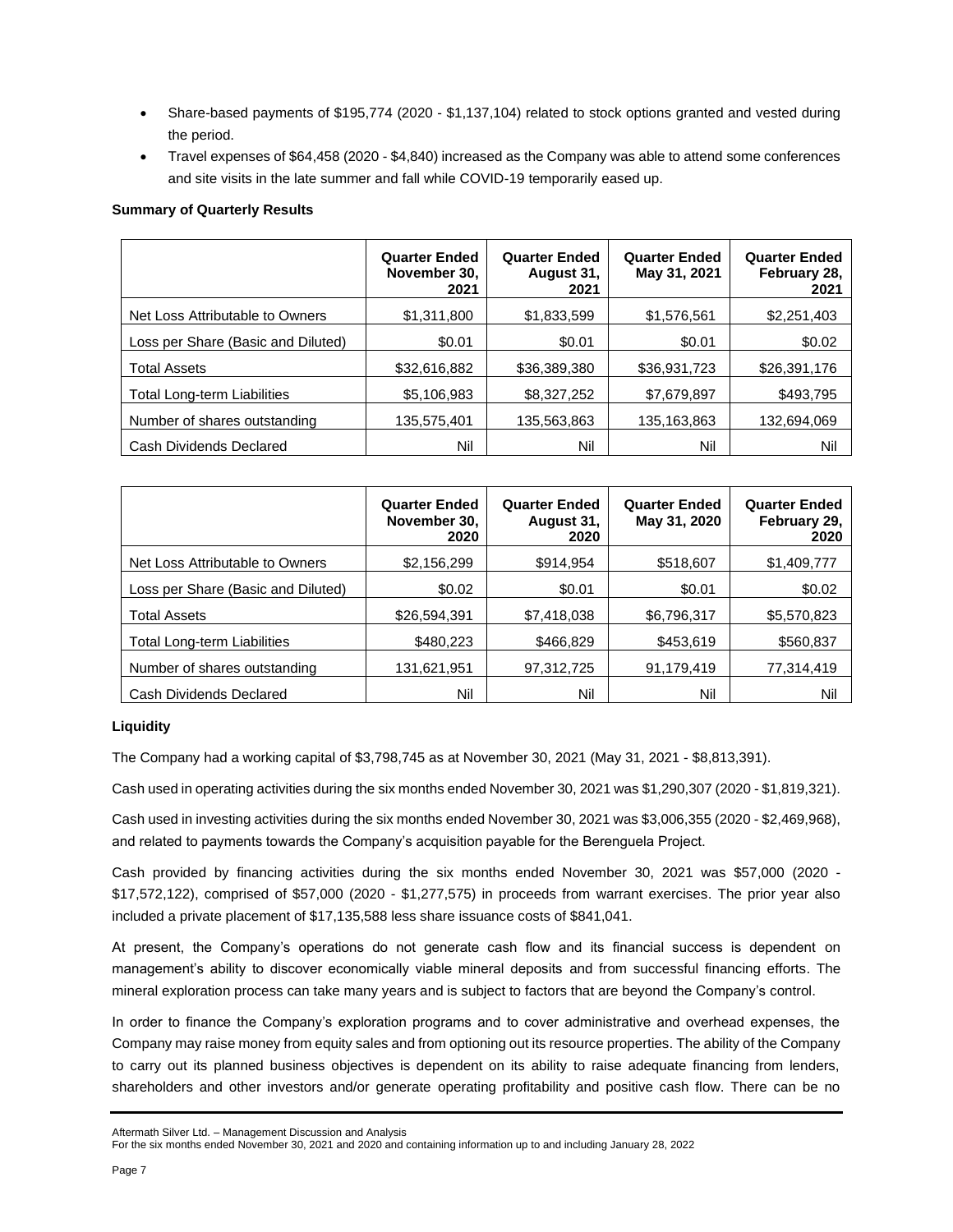- Share-based payments of \$195,774 (2020 \$1,137,104) related to stock options granted and vested during the period.
- Travel expenses of \$64,458 (2020 \$4,840) increased as the Company was able to attend some conferences and site visits in the late summer and fall while COVID-19 temporarily eased up.

### **Summary of Quarterly Results**

|                                    | <b>Quarter Ended</b><br>November 30,<br>2021 | <b>Quarter Ended</b><br>August 31,<br>2021 | <b>Quarter Ended</b><br>May 31, 2021 | <b>Quarter Ended</b><br>February 28,<br>2021 |
|------------------------------------|----------------------------------------------|--------------------------------------------|--------------------------------------|----------------------------------------------|
| Net Loss Attributable to Owners    | \$1,311,800                                  | \$1,833,599                                | \$1,576,561                          | \$2,251,403                                  |
| Loss per Share (Basic and Diluted) | \$0.01                                       | \$0.01                                     | \$0.01                               | \$0.02                                       |
| <b>Total Assets</b>                | \$32,616,882                                 | \$36,389,380                               | \$36,931,723                         | \$26,391,176                                 |
| <b>Total Long-term Liabilities</b> | \$5,106,983                                  | \$8,327,252                                | \$7,679,897                          | \$493,795                                    |
| Number of shares outstanding       | 135,575,401                                  | 135,563,863                                | 135,163,863                          | 132,694,069                                  |
| Cash Dividends Declared            | Nil                                          | Nil                                        | Nil                                  | Nil                                          |

|                                    | <b>Quarter Ended</b><br>November 30,<br>2020 | <b>Quarter Ended</b><br>August 31,<br>2020 | <b>Quarter Ended</b><br>May 31, 2020 | <b>Quarter Ended</b><br>February 29,<br>2020 |
|------------------------------------|----------------------------------------------|--------------------------------------------|--------------------------------------|----------------------------------------------|
| Net Loss Attributable to Owners    | \$2,156,299                                  | \$914,954                                  | \$518,607                            | \$1,409,777                                  |
| Loss per Share (Basic and Diluted) | \$0.02                                       | \$0.01                                     | \$0.01                               | \$0.02                                       |
| <b>Total Assets</b>                | \$26,594,391                                 | \$7,418,038                                | \$6,796,317                          | \$5,570,823                                  |
| <b>Total Long-term Liabilities</b> | \$480,223                                    | \$466,829                                  | \$453,619                            | \$560,837                                    |
| Number of shares outstanding       | 131,621,951                                  | 97,312,725                                 | 91,179,419                           | 77,314,419                                   |
| Cash Dividends Declared            | Nil                                          | Nil                                        | Nil                                  | Nil                                          |

### **Liquidity**

The Company had a working capital of \$3,798,745 as at November 30, 2021 (May 31, 2021 - \$8,813,391).

Cash used in operating activities during the six months ended November 30, 2021 was \$1,290,307 (2020 - \$1,819,321).

Cash used in investing activities during the six months ended November 30, 2021 was \$3,006,355 (2020 - \$2,469,968), and related to payments towards the Company's acquisition payable for the Berenguela Project.

Cash provided by financing activities during the six months ended November 30, 2021 was \$57,000 (2020 - \$17,572,122), comprised of \$57,000 (2020 - \$1,277,575) in proceeds from warrant exercises. The prior year also included a private placement of \$17,135,588 less share issuance costs of \$841,041.

At present, the Company's operations do not generate cash flow and its financial success is dependent on management's ability to discover economically viable mineral deposits and from successful financing efforts. The mineral exploration process can take many years and is subject to factors that are beyond the Company's control.

In order to finance the Company's exploration programs and to cover administrative and overhead expenses, the Company may raise money from equity sales and from optioning out its resource properties. The ability of the Company to carry out its planned business objectives is dependent on its ability to raise adequate financing from lenders, shareholders and other investors and/or generate operating profitability and positive cash flow. There can be no

Aftermath Silver Ltd. – Management Discussion and Analysis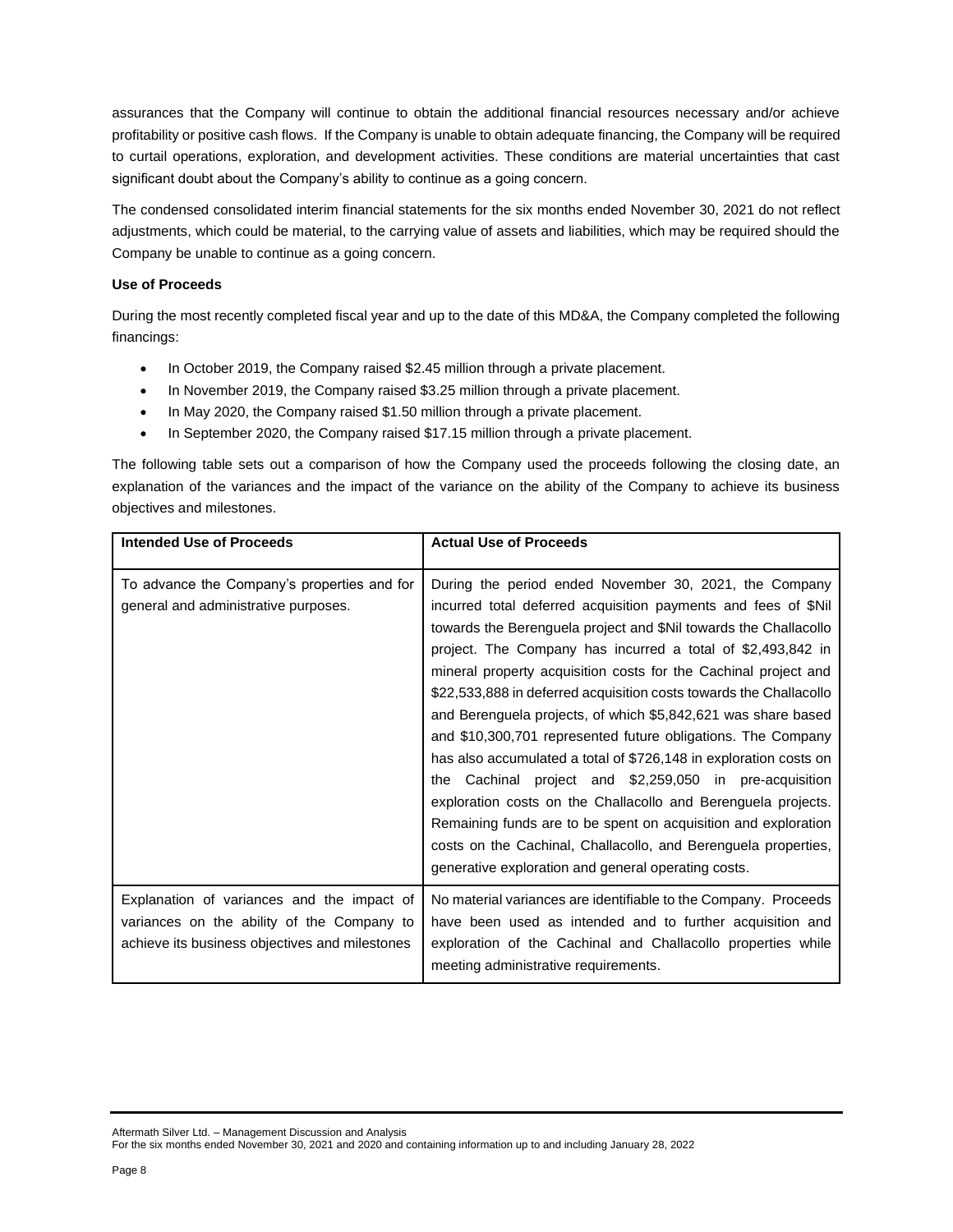assurances that the Company will continue to obtain the additional financial resources necessary and/or achieve profitability or positive cash flows. If the Company is unable to obtain adequate financing, the Company will be required to curtail operations, exploration, and development activities. These conditions are material uncertainties that cast significant doubt about the Company's ability to continue as a going concern.

The condensed consolidated interim financial statements for the six months ended November 30, 2021 do not reflect adjustments, which could be material, to the carrying value of assets and liabilities, which may be required should the Company be unable to continue as a going concern.

### **Use of Proceeds**

During the most recently completed fiscal year and up to the date of this MD&A, the Company completed the following financings:

- In October 2019, the Company raised \$2.45 million through a private placement.
- In November 2019, the Company raised \$3.25 million through a private placement.
- In May 2020, the Company raised \$1.50 million through a private placement.
- In September 2020, the Company raised \$17.15 million through a private placement.

The following table sets out a comparison of how the Company used the proceeds following the closing date, an explanation of the variances and the impact of the variance on the ability of the Company to achieve its business objectives and milestones.

| <b>Intended Use of Proceeds</b>                                                                                                            | <b>Actual Use of Proceeds</b>                                                                                                                                                                                                                                                                                                                                                                                                                                                                                                                                                                                                                                                                                                                                                                                                                                                                                                        |
|--------------------------------------------------------------------------------------------------------------------------------------------|--------------------------------------------------------------------------------------------------------------------------------------------------------------------------------------------------------------------------------------------------------------------------------------------------------------------------------------------------------------------------------------------------------------------------------------------------------------------------------------------------------------------------------------------------------------------------------------------------------------------------------------------------------------------------------------------------------------------------------------------------------------------------------------------------------------------------------------------------------------------------------------------------------------------------------------|
| To advance the Company's properties and for<br>general and administrative purposes.                                                        | During the period ended November 30, 2021, the Company<br>incurred total deferred acquisition payments and fees of \$Nil<br>towards the Berenguela project and \$Nil towards the Challacollo<br>project. The Company has incurred a total of \$2,493,842 in<br>mineral property acquisition costs for the Cachinal project and<br>\$22,533,888 in deferred acquisition costs towards the Challacollo<br>and Berenguela projects, of which \$5,842,621 was share based<br>and \$10,300,701 represented future obligations. The Company<br>has also accumulated a total of \$726,148 in exploration costs on<br>Cachinal project and \$2,259,050 in pre-acquisition<br>the<br>exploration costs on the Challacollo and Berenguela projects.<br>Remaining funds are to be spent on acquisition and exploration<br>costs on the Cachinal, Challacollo, and Berenguela properties,<br>generative exploration and general operating costs. |
| Explanation of variances and the impact of<br>variances on the ability of the Company to<br>achieve its business objectives and milestones | No material variances are identifiable to the Company. Proceeds<br>have been used as intended and to further acquisition and<br>exploration of the Cachinal and Challacollo properties while<br>meeting administrative requirements.                                                                                                                                                                                                                                                                                                                                                                                                                                                                                                                                                                                                                                                                                                 |

Aftermath Silver Ltd. – Management Discussion and Analysis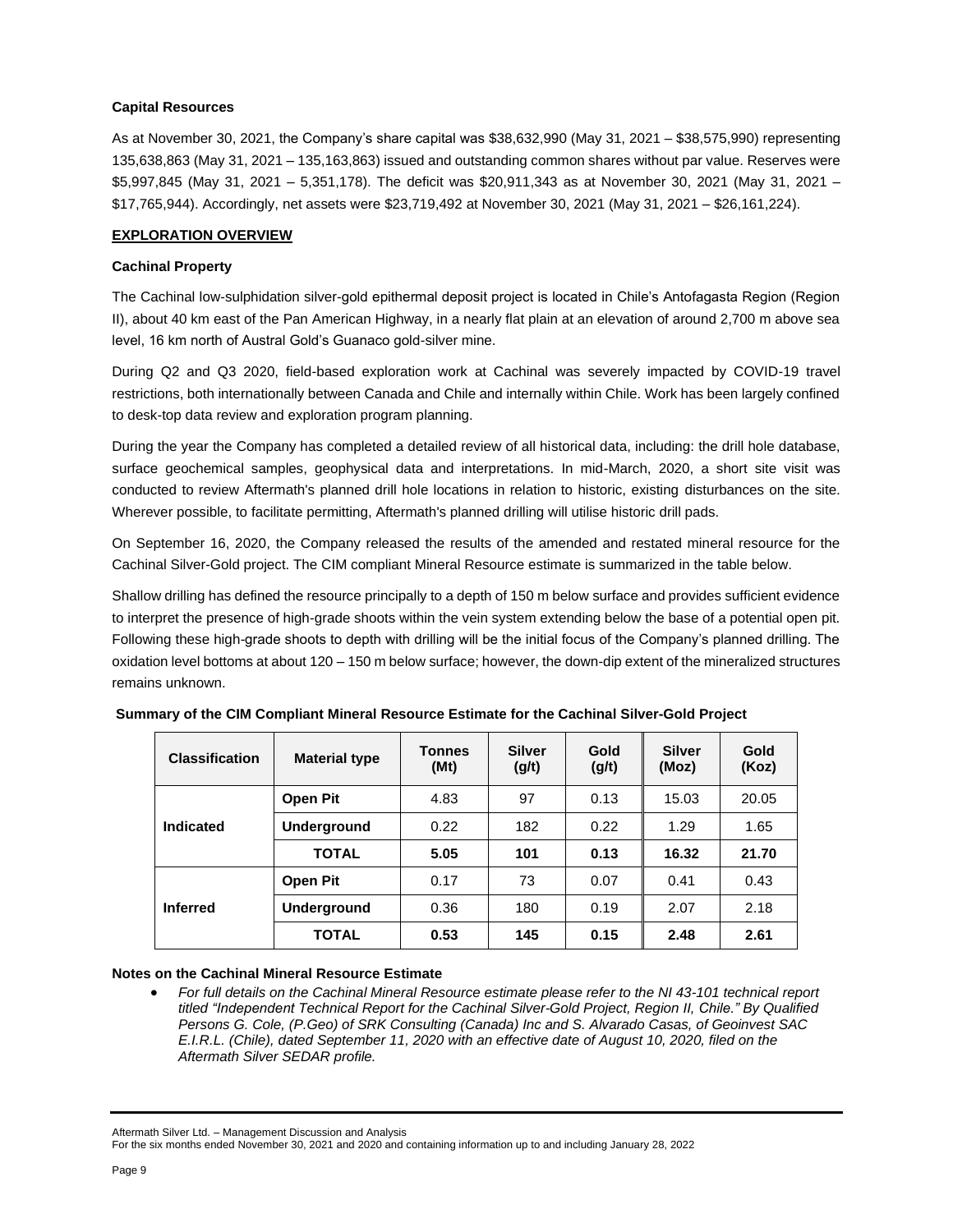### **Capital Resources**

As at November 30, 2021, the Company's share capital was \$38,632,990 (May 31, 2021 – \$38,575,990) representing 135,638,863 (May 31, 2021 – 135,163,863) issued and outstanding common shares without par value. Reserves were \$5,997,845 (May 31, 2021 – 5,351,178). The deficit was \$20,911,343 as at November 30, 2021 (May 31, 2021 – \$17,765,944). Accordingly, net assets were \$23,719,492 at November 30, 2021 (May 31, 2021 – \$26,161,224).

### **EXPLORATION OVERVIEW**

### **Cachinal Property**

The Cachinal low-sulphidation silver-gold epithermal deposit project is located in Chile's Antofagasta Region (Region II), about 40 km east of the Pan American Highway, in a nearly flat plain at an elevation of around 2,700 m above sea level, 16 km north of Austral Gold's Guanaco gold-silver mine.

During Q2 and Q3 2020, field-based exploration work at Cachinal was severely impacted by COVID-19 travel restrictions, both internationally between Canada and Chile and internally within Chile. Work has been largely confined to desk-top data review and exploration program planning.

During the year the Company has completed a detailed review of all historical data, including: the drill hole database, surface geochemical samples, geophysical data and interpretations. In mid-March, 2020, a short site visit was conducted to review Aftermath's planned drill hole locations in relation to historic, existing disturbances on the site. Wherever possible, to facilitate permitting, Aftermath's planned drilling will utilise historic drill pads.

On September 16, 2020, the Company released the results of the amended and restated mineral resource for the Cachinal Silver-Gold project. The CIM compliant Mineral Resource estimate is summarized in the table below.

Shallow drilling has defined the resource principally to a depth of 150 m below surface and provides sufficient evidence to interpret the presence of high-grade shoots within the vein system extending below the base of a potential open pit. Following these high-grade shoots to depth with drilling will be the initial focus of the Company's planned drilling. The oxidation level bottoms at about 120 – 150 m below surface; however, the down-dip extent of the mineralized structures remains unknown.

| <b>Classification</b> | <b>Material type</b> | <b>Tonnes</b><br>(Mt) | <b>Silver</b><br>(g/t) | Gold<br>(g/t) | <b>Silver</b><br>(Moz) | Gold<br>(Koz) |
|-----------------------|----------------------|-----------------------|------------------------|---------------|------------------------|---------------|
|                       | <b>Open Pit</b>      | 4.83                  | 97                     | 0.13          | 15.03                  | 20.05         |
| Indicated             | Underground          | 0.22                  | 182                    | 0.22          | 1.29                   | 1.65          |
|                       | <b>TOTAL</b>         | 5.05                  | 101                    | 0.13          | 16.32                  | 21.70         |
| <b>Inferred</b>       | <b>Open Pit</b>      | 0.17                  | 73                     | 0.07          | 0.41                   | 0.43          |
|                       | Underground          | 0.36                  | 180                    | 0.19          | 2.07                   | 2.18          |
|                       | <b>TOTAL</b>         | 0.53                  | 145                    | 0.15          | 2.48                   | 2.61          |

**Summary of the CIM Compliant Mineral Resource Estimate for the Cachinal Silver-Gold Project**

### **Notes on the Cachinal Mineral Resource Estimate**

For full details on the Cachinal Mineral Resource estimate please refer to the NI 43-101 technical report *titled "Independent Technical Report for the Cachinal Silver-Gold Project, Region II, Chile." By Qualified Persons G. Cole, (P.Geo) of SRK Consulting (Canada) Inc and S. Alvarado Casas, of Geoinvest SAC E.I.R.L. (Chile), dated September 11, 2020 with an effective date of August 10, 2020, filed on the Aftermath Silver SEDAR profile.*

Aftermath Silver Ltd. – Management Discussion and Analysis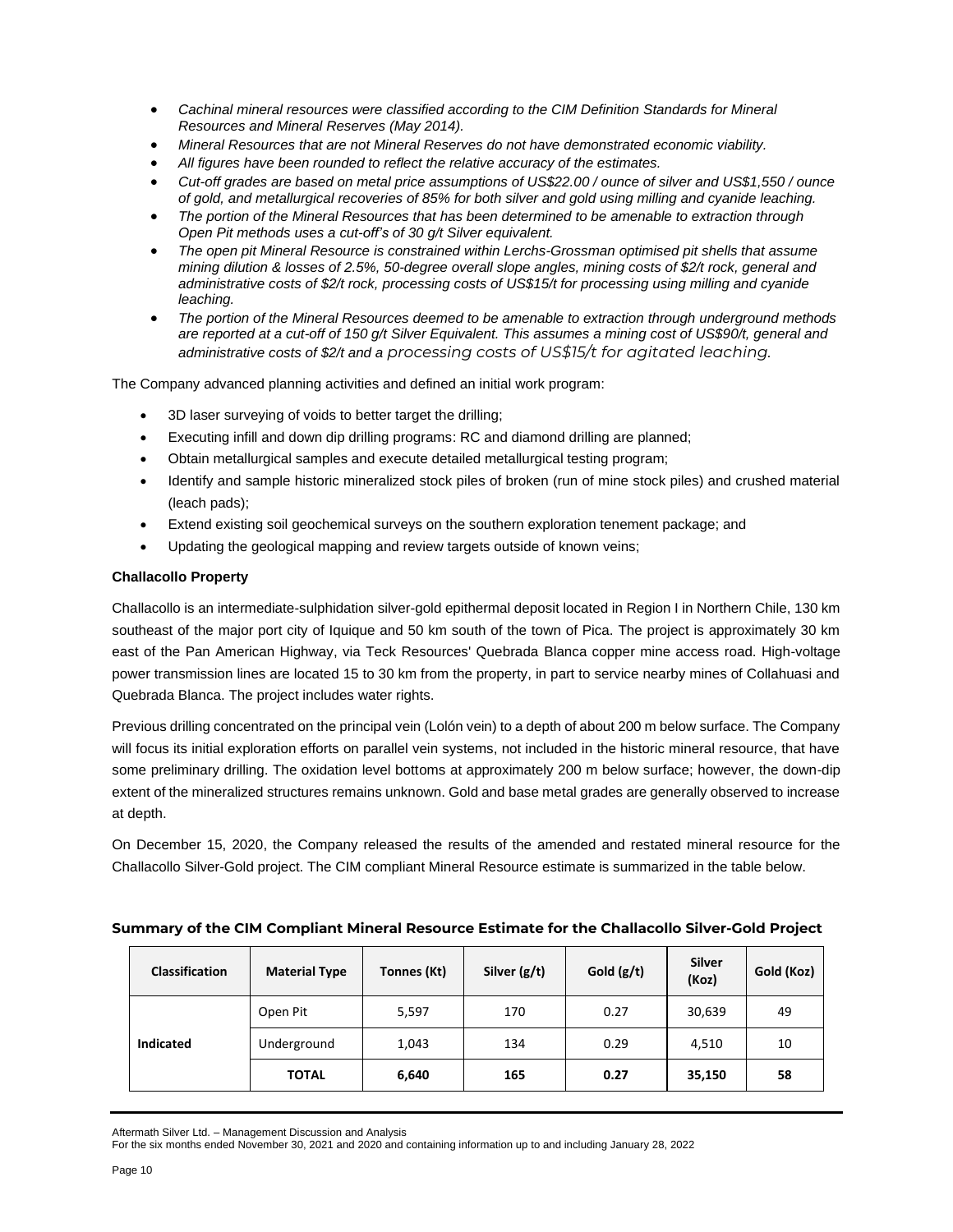- *Cachinal mineral resources were classified according to the CIM Definition Standards for Mineral Resources and Mineral Reserves (May 2014).*
- *Mineral Resources that are not Mineral Reserves do not have demonstrated economic viability.*
- *All figures have been rounded to reflect the relative accuracy of the estimates.*
- Cut-off grades are based on metal price assumptions of US\$22.00 / ounce of silver and US\$1,550 / ounce *of gold, and metallurgical recoveries of 85% for both silver and gold using milling and cyanide leaching.*
- *The portion of the Mineral Resources that has been determined to be amenable to extraction through Open Pit methods uses a cut-off's of 30 g/t Silver equivalent.*
- *The open pit Mineral Resource is constrained within Lerchs-Grossman optimised pit shells that assume mining dilution & losses of 2.5%, 50-degree overall slope angles, mining costs of \$2/t rock, general and administrative costs of \$2/t rock, processing costs of US\$15/t for processing using milling and cyanide leaching.*
- *The portion of the Mineral Resources deemed to be amenable to extraction through underground methods* are reported at a cut-off of 150 g/t Silver Equivalent. This assumes a mining cost of US\$90/t, general and *administrative costs of \$2/t and a processing costs of US\$15/t for agitated leaching.*

The Company advanced planning activities and defined an initial work program:

- 3D laser surveying of voids to better target the drilling;
- Executing infill and down dip drilling programs: RC and diamond drilling are planned;
- Obtain metallurgical samples and execute detailed metallurgical testing program;
- Identify and sample historic mineralized stock piles of broken (run of mine stock piles) and crushed material (leach pads);
- Extend existing soil geochemical surveys on the southern exploration tenement package; and
- Updating the geological mapping and review targets outside of known veins;

### **Challacollo Property**

Challacollo is an intermediate-sulphidation silver-gold epithermal deposit located in Region I in Northern Chile, 130 km southeast of the major port city of Iquique and 50 km south of the town of Pica. The project is approximately 30 km east of the Pan American Highway, via Teck Resources' Quebrada Blanca copper mine access road. High-voltage power transmission lines are located 15 to 30 km from the property, in part to service nearby mines of Collahuasi and Quebrada Blanca. The project includes water rights.

Previous drilling concentrated on the principal vein (Lolón vein) to a depth of about 200 m below surface. The Company will focus its initial exploration efforts on parallel vein systems, not included in the historic mineral resource, that have some preliminary drilling. The oxidation level bottoms at approximately 200 m below surface; however, the down-dip extent of the mineralized structures remains unknown. Gold and base metal grades are generally observed to increase at depth.

On December 15, 2020, the Company released the results of the amended and restated mineral resource for the Challacollo Silver-Gold project. The CIM compliant Mineral Resource estimate is summarized in the table below.

| Summary of the CIM Compliant Mineral Resource Estimate for the Challacollo Silver-Gold Project |  |
|------------------------------------------------------------------------------------------------|--|
|------------------------------------------------------------------------------------------------|--|

| <b>Classification</b> | <b>Material Type</b> | Tonnes (Kt) | Silver $(g/t)$ | Gold $(g/t)$ | Silver<br>(Koz) | Gold (Koz) |
|-----------------------|----------------------|-------------|----------------|--------------|-----------------|------------|
|                       | Open Pit             | 5,597       | 170            | 0.27         | 30,639          | 49         |
| <b>Indicated</b>      | Underground          | 1,043       | 134            | 0.29         | 4,510           | 10         |
|                       | <b>TOTAL</b>         | 6,640       | 165            | 0.27         | 35,150          | 58         |

Aftermath Silver Ltd. – Management Discussion and Analysis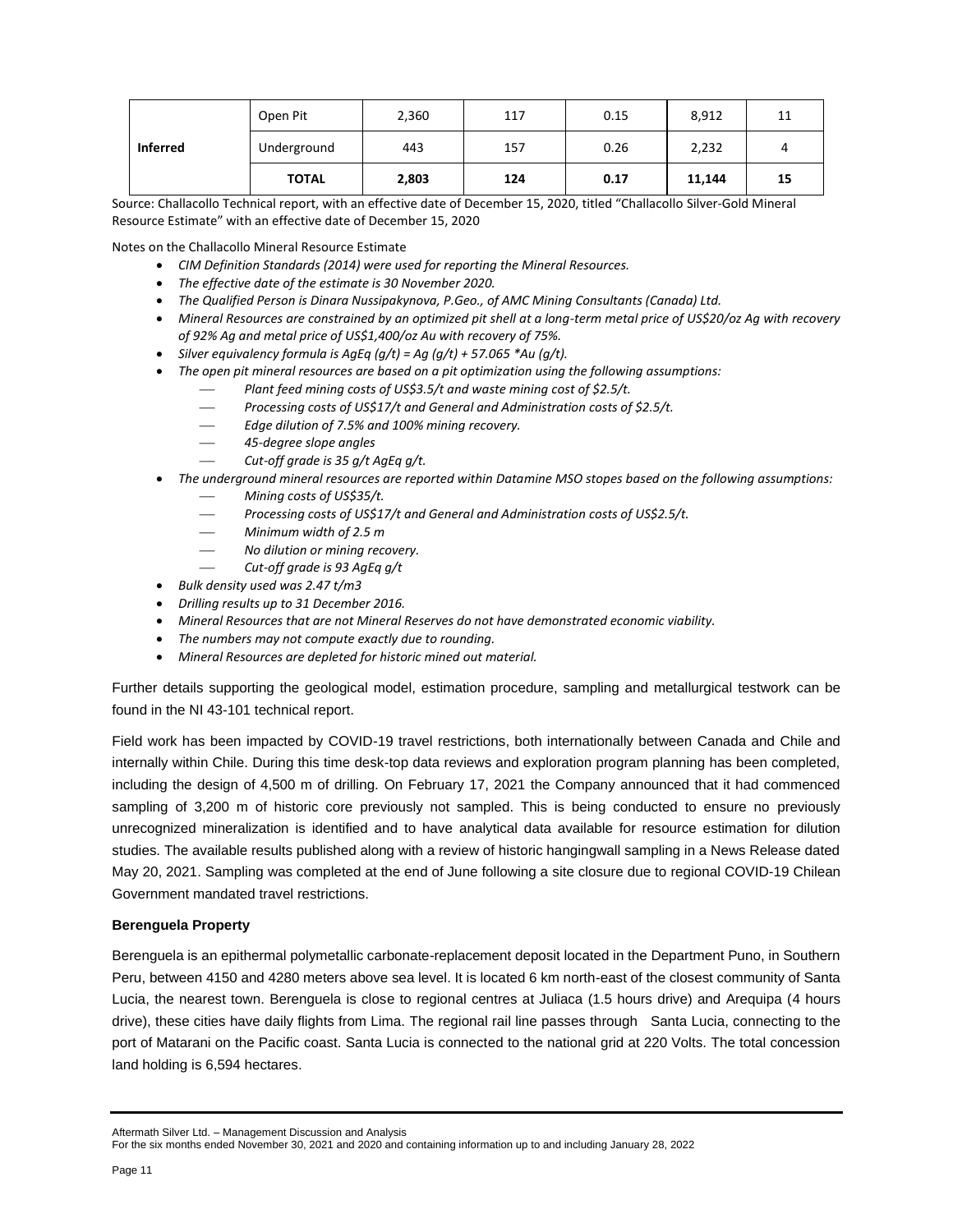|                 | Open Pit     | 2,360 | 117 | 0.15 | 8,912  | 11 |
|-----------------|--------------|-------|-----|------|--------|----|
| <b>Inferred</b> | Underground  | 443   | 157 | 0.26 | 2,232  |    |
|                 | <b>TOTAL</b> | 2,803 | 124 | 0.17 | 11,144 | 15 |

Source: Challacollo Technical report, with an effective date of December 15, 2020, titled "Challacollo Silver-Gold Mineral Resource Estimate" with an effective date of December 15, 2020

Notes on the Challacollo Mineral Resource Estimate

- *CIM Definition Standards (2014) were used for reporting the Mineral Resources.*
- *The effective date of the estimate is 30 November 2020.*
- *The Qualified Person is Dinara Nussipakynova, P.Geo., of AMC Mining Consultants (Canada) Ltd.*
- *Mineral Resources are constrained by an optimized pit shell at a long-term metal price of US\$20/oz Ag with recovery of 92% Ag and metal price of US\$1,400/oz Au with recovery of 75%.*
- *Silver equivalency formula is AgEq (g/t) = Ag (g/t) + 57.065 \*Au (g/t).*
- *The open pit mineral resources are based on a pit optimization using the following assumptions:*
	- Plant feed mining costs of US\$3.5/t and waste mining cost of \$2.5/t.
	- ⎯ *Processing costs of US\$17/t and General and Administration costs of \$2.5/t.*
	- ⎯ *Edge dilution of 7.5% and 100% mining recovery.*
	- ⎯ *45-degree slope angles*
	- Cut-off grade is 35 g/t AgEq g/t.
- *The underground mineral resources are reported within Datamine MSO stopes based on the following assumptions:*
	- ⎯ *Mining costs of US\$35/t.*
	- Processing costs of US\$17/t and General and Administration costs of US\$2.5/t.
	- ⎯ *Minimum width of 2.5 m*
	- ⎯ *No dilution or mining recovery.*
	- ⎯ *Cut-off grade is 93 AgEq g/t*
- *Bulk density used was 2.47 t/m3*
- *Drilling results up to 31 December 2016.*
- *Mineral Resources that are not Mineral Reserves do not have demonstrated economic viability.*
- *The numbers may not compute exactly due to rounding.*
- *Mineral Resources are depleted for historic mined out material.*

Further details supporting the geological model, estimation procedure, sampling and metallurgical testwork can be found in the NI 43-101 technical report.

Field work has been impacted by COVID-19 travel restrictions, both internationally between Canada and Chile and internally within Chile. During this time desk-top data reviews and exploration program planning has been completed, including the design of 4,500 m of drilling. On February 17, 2021 the Company announced that it had commenced sampling of 3,200 m of historic core previously not sampled. This is being conducted to ensure no previously unrecognized mineralization is identified and to have analytical data available for resource estimation for dilution studies. The available results published along with a review of historic hangingwall sampling in a News Release dated May 20, 2021. Sampling was completed at the end of June following a site closure due to regional COVID-19 Chilean Government mandated travel restrictions.

### **Berenguela Property**

Berenguela is an epithermal polymetallic carbonate-replacement deposit located in the Department Puno, in Southern Peru, between 4150 and 4280 meters above sea level. It is located 6 km north-east of the closest community of Santa Lucia, the nearest town. Berenguela is close to regional centres at Juliaca (1.5 hours drive) and Arequipa (4 hours drive), these cities have daily flights from Lima. The regional rail line passes through Santa Lucia, connecting to the port of Matarani on the Pacific coast. Santa Lucia is connected to the national grid at 220 Volts. The total concession land holding is 6,594 hectares.

Aftermath Silver Ltd. – Management Discussion and Analysis

For the six months ended November 30, 2021 and 2020 and containing information up to and including January 28, 2022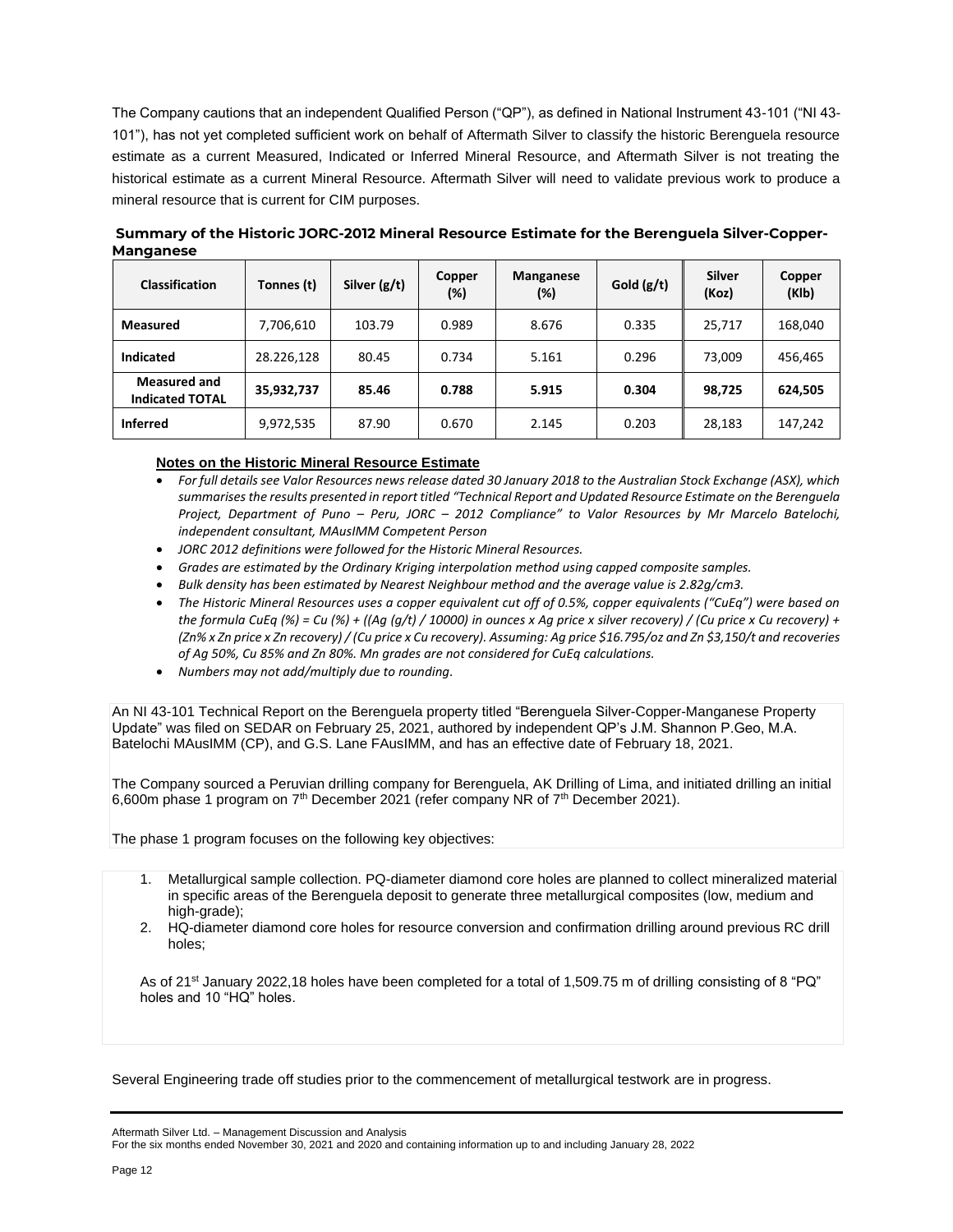The Company cautions that an independent Qualified Person ("QP"), as defined in National Instrument 43-101 ("NI 43- 101"), has not yet completed sufficient work on behalf of Aftermath Silver to classify the historic Berenguela resource estimate as a current Measured, Indicated or Inferred Mineral Resource, and Aftermath Silver is not treating the historical estimate as a current Mineral Resource. Aftermath Silver will need to validate previous work to produce a mineral resource that is current for CIM purposes.

| .                                             |            |                |                  |                            |              |                 |                 |
|-----------------------------------------------|------------|----------------|------------------|----------------------------|--------------|-----------------|-----------------|
| <b>Classification</b>                         | Tonnes (t) | Silver $(g/t)$ | Copper<br>$(\%)$ | <b>Manganese</b><br>$(\%)$ | Gold $(g/t)$ | Silver<br>(Koz) | Copper<br>(KIb) |
| <b>Measured</b>                               | 7,706,610  | 103.79         | 0.989            | 8.676                      | 0.335        | 25,717          | 168,040         |
| <b>Indicated</b>                              | 28.226,128 | 80.45          | 0.734            | 5.161                      | 0.296        | 73.009          | 456,465         |
| <b>Measured and</b><br><b>Indicated TOTAL</b> | 35,932,737 | 85.46          | 0.788            | 5.915                      | 0.304        | 98,725          | 624,505         |
| <b>Inferred</b>                               | 9,972,535  | 87.90          | 0.670            | 2.145                      | 0.203        | 28,183          | 147,242         |

**Summary of the Historic JORC-2012 Mineral Resource Estimate for the Berenguela Silver-Copper-Manganese**

### **Notes on the Historic Mineral Resource Estimate**

- *For full details see Valor Resources news release dated 30 January 2018 to the Australian Stock Exchange (ASX), which summarises the results presented in report titled "Technical Report and Updated Resource Estimate on the Berenguela Project, Department of Puno – Peru, JORC – 2012 Compliance" to Valor Resources by Mr Marcelo Batelochi, independent consultant, MAusIMM Competent Person*
- *JORC 2012 definitions were followed for the Historic Mineral Resources.*
- *Grades are estimated by the Ordinary Kriging interpolation method using capped composite samples.*
- *Bulk density has been estimated by Nearest Neighbour method and the average value is 2.82g/cm3.*
- *The Historic Mineral Resources uses a copper equivalent cut off of 0.5%, copper equivalents ("CuEq") were based on the formula CuEq (%) = Cu (%) + ((Ag (g/t) / 10000) in ounces x Ag price x silver recovery) / (Cu price x Cu recovery) + (Zn% x Zn price x Zn recovery) / (Cu price x Cu recovery). Assuming: Ag price \$16.795/oz and Zn \$3,150/t and recoveries of Ag 50%, Cu 85% and Zn 80%. Mn grades are not considered for CuEq calculations.*
- *Numbers may not add/multiply due to rounding.*

An NI 43-101 Technical Report on the Berenguela property titled "Berenguela Silver-Copper-Manganese Property Update" was filed on SEDAR on February 25, 2021, authored by independent QP's J.M. Shannon P.Geo, M.A. Batelochi MAusIMM (CP), and G.S. Lane FAusIMM, and has an effective date of February 18, 2021.

The Company sourced a Peruvian drilling company for Berenguela, AK Drilling of Lima, and initiated drilling an initial 6,600m phase 1 program on  $7<sup>th</sup>$  December 2021 (refer company NR of  $7<sup>th</sup>$  December 2021).

The phase 1 program focuses on the following key objectives:

- 1. Metallurgical sample collection. PQ-diameter diamond core holes are planned to collect mineralized material in specific areas of the Berenguela deposit to generate three metallurgical composites (low, medium and high-grade);
- 2. HQ-diameter diamond core holes for resource conversion and confirmation drilling around previous RC drill holes;

As of 21<sup>st</sup> January 2022,18 holes have been completed for a total of 1,509.75 m of drilling consisting of 8 "PQ" holes and 10 "HQ" holes.

Several Engineering trade off studies prior to the commencement of metallurgical testwork are in progress.

Aftermath Silver Ltd. – Management Discussion and Analysis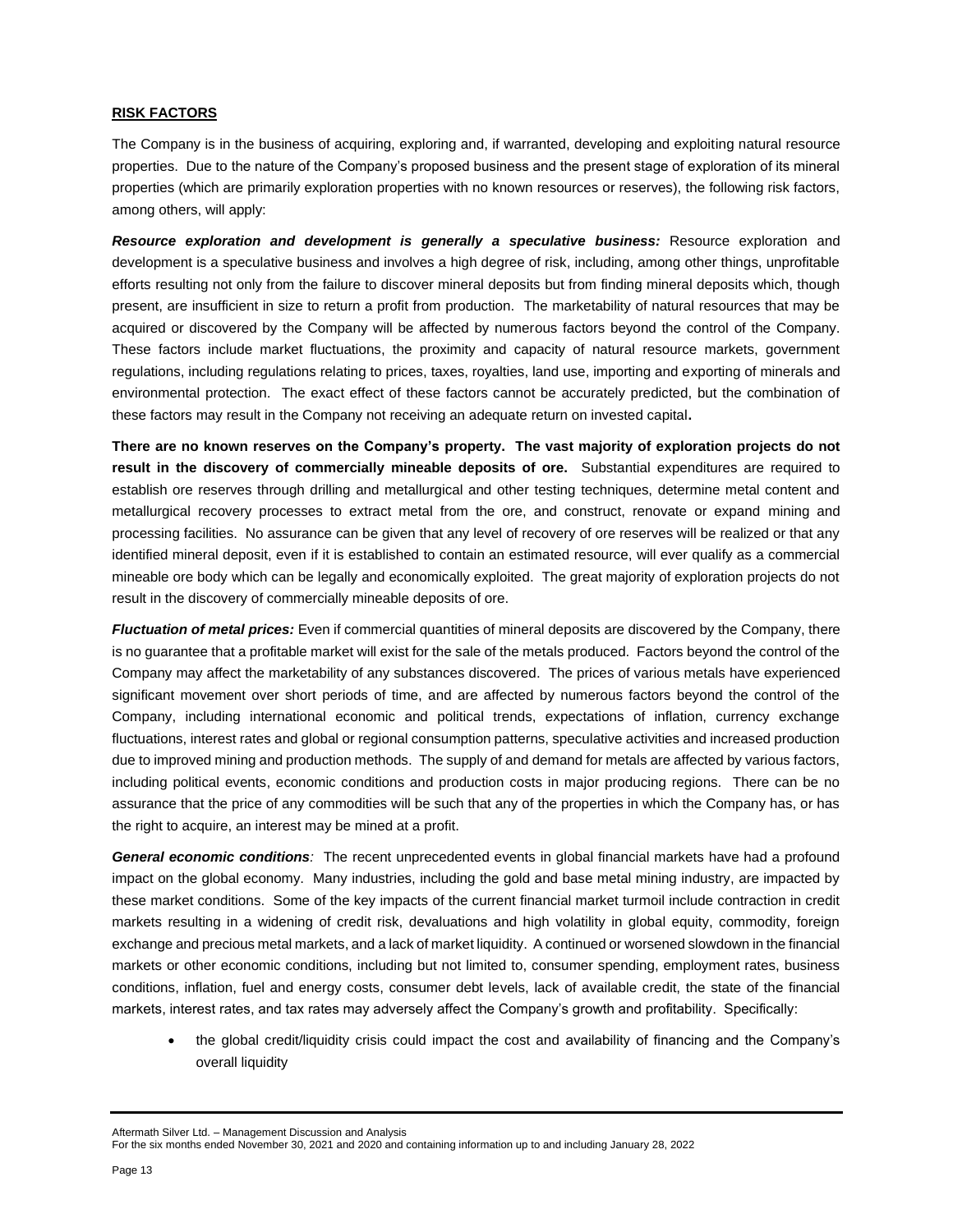### **RISK FACTORS**

The Company is in the business of acquiring, exploring and, if warranted, developing and exploiting natural resource properties. Due to the nature of the Company's proposed business and the present stage of exploration of its mineral properties (which are primarily exploration properties with no known resources or reserves), the following risk factors, among others, will apply:

*Resource exploration and development is generally a speculative business:* Resource exploration and development is a speculative business and involves a high degree of risk, including, among other things, unprofitable efforts resulting not only from the failure to discover mineral deposits but from finding mineral deposits which, though present, are insufficient in size to return a profit from production. The marketability of natural resources that may be acquired or discovered by the Company will be affected by numerous factors beyond the control of the Company. These factors include market fluctuations, the proximity and capacity of natural resource markets, government regulations, including regulations relating to prices, taxes, royalties, land use, importing and exporting of minerals and environmental protection. The exact effect of these factors cannot be accurately predicted, but the combination of these factors may result in the Company not receiving an adequate return on invested capital**.** 

**There are no known reserves on the Company's property. The vast majority of exploration projects do not result in the discovery of commercially mineable deposits of ore.** Substantial expenditures are required to establish ore reserves through drilling and metallurgical and other testing techniques, determine metal content and metallurgical recovery processes to extract metal from the ore, and construct, renovate or expand mining and processing facilities. No assurance can be given that any level of recovery of ore reserves will be realized or that any identified mineral deposit, even if it is established to contain an estimated resource, will ever qualify as a commercial mineable ore body which can be legally and economically exploited. The great majority of exploration projects do not result in the discovery of commercially mineable deposits of ore.

*Fluctuation of metal prices:* Even if commercial quantities of mineral deposits are discovered by the Company, there is no guarantee that a profitable market will exist for the sale of the metals produced. Factors beyond the control of the Company may affect the marketability of any substances discovered. The prices of various metals have experienced significant movement over short periods of time, and are affected by numerous factors beyond the control of the Company, including international economic and political trends, expectations of inflation, currency exchange fluctuations, interest rates and global or regional consumption patterns, speculative activities and increased production due to improved mining and production methods. The supply of and demand for metals are affected by various factors, including political events, economic conditions and production costs in major producing regions. There can be no assurance that the price of any commodities will be such that any of the properties in which the Company has, or has the right to acquire, an interest may be mined at a profit.

*General economic conditions:* The recent unprecedented events in global financial markets have had a profound impact on the global economy. Many industries, including the gold and base metal mining industry, are impacted by these market conditions. Some of the key impacts of the current financial market turmoil include contraction in credit markets resulting in a widening of credit risk, devaluations and high volatility in global equity, commodity, foreign exchange and precious metal markets, and a lack of market liquidity. A continued or worsened slowdown in the financial markets or other economic conditions, including but not limited to, consumer spending, employment rates, business conditions, inflation, fuel and energy costs, consumer debt levels, lack of available credit, the state of the financial markets, interest rates, and tax rates may adversely affect the Company's growth and profitability. Specifically:

• the global credit/liquidity crisis could impact the cost and availability of financing and the Company's overall liquidity

Aftermath Silver Ltd. – Management Discussion and Analysis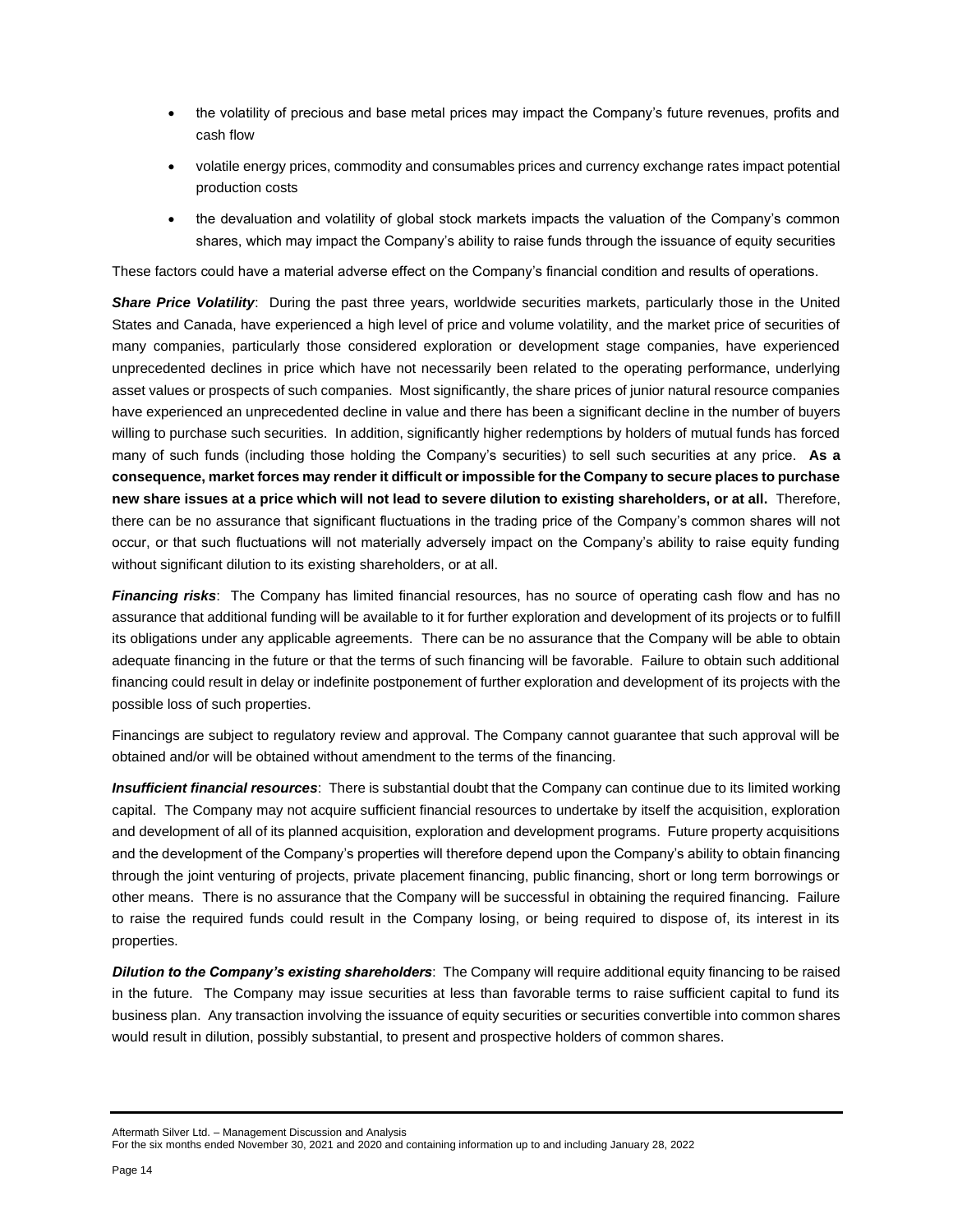- the volatility of precious and base metal prices may impact the Company's future revenues, profits and cash flow
- volatile energy prices, commodity and consumables prices and currency exchange rates impact potential production costs
- the devaluation and volatility of global stock markets impacts the valuation of the Company's common shares, which may impact the Company's ability to raise funds through the issuance of equity securities

These factors could have a material adverse effect on the Company's financial condition and results of operations.

**Share Price Volatility:** During the past three years, worldwide securities markets, particularly those in the United States and Canada, have experienced a high level of price and volume volatility, and the market price of securities of many companies, particularly those considered exploration or development stage companies, have experienced unprecedented declines in price which have not necessarily been related to the operating performance, underlying asset values or prospects of such companies. Most significantly, the share prices of junior natural resource companies have experienced an unprecedented decline in value and there has been a significant decline in the number of buyers willing to purchase such securities. In addition, significantly higher redemptions by holders of mutual funds has forced many of such funds (including those holding the Company's securities) to sell such securities at any price. **As a consequence, market forces may render it difficult or impossible for the Company to secure places to purchase new share issues at a price which will not lead to severe dilution to existing shareholders, or at all.** Therefore, there can be no assurance that significant fluctuations in the trading price of the Company's common shares will not occur, or that such fluctuations will not materially adversely impact on the Company's ability to raise equity funding without significant dilution to its existing shareholders, or at all.

*Financing risks*: The Company has limited financial resources, has no source of operating cash flow and has no assurance that additional funding will be available to it for further exploration and development of its projects or to fulfill its obligations under any applicable agreements. There can be no assurance that the Company will be able to obtain adequate financing in the future or that the terms of such financing will be favorable. Failure to obtain such additional financing could result in delay or indefinite postponement of further exploration and development of its projects with the possible loss of such properties.

Financings are subject to regulatory review and approval. The Company cannot guarantee that such approval will be obtained and/or will be obtained without amendment to the terms of the financing.

*Insufficient financial resources*: There is substantial doubt that the Company can continue due to its limited working capital. The Company may not acquire sufficient financial resources to undertake by itself the acquisition, exploration and development of all of its planned acquisition, exploration and development programs. Future property acquisitions and the development of the Company's properties will therefore depend upon the Company's ability to obtain financing through the joint venturing of projects, private placement financing, public financing, short or long term borrowings or other means. There is no assurance that the Company will be successful in obtaining the required financing. Failure to raise the required funds could result in the Company losing, or being required to dispose of, its interest in its properties.

*Dilution to the Company's existing shareholders*: The Company will require additional equity financing to be raised in the future. The Company may issue securities at less than favorable terms to raise sufficient capital to fund its business plan. Any transaction involving the issuance of equity securities or securities convertible into common shares would result in dilution, possibly substantial, to present and prospective holders of common shares.

Aftermath Silver Ltd. – Management Discussion and Analysis

For the six months ended November 30, 2021 and 2020 and containing information up to and including January 28, 2022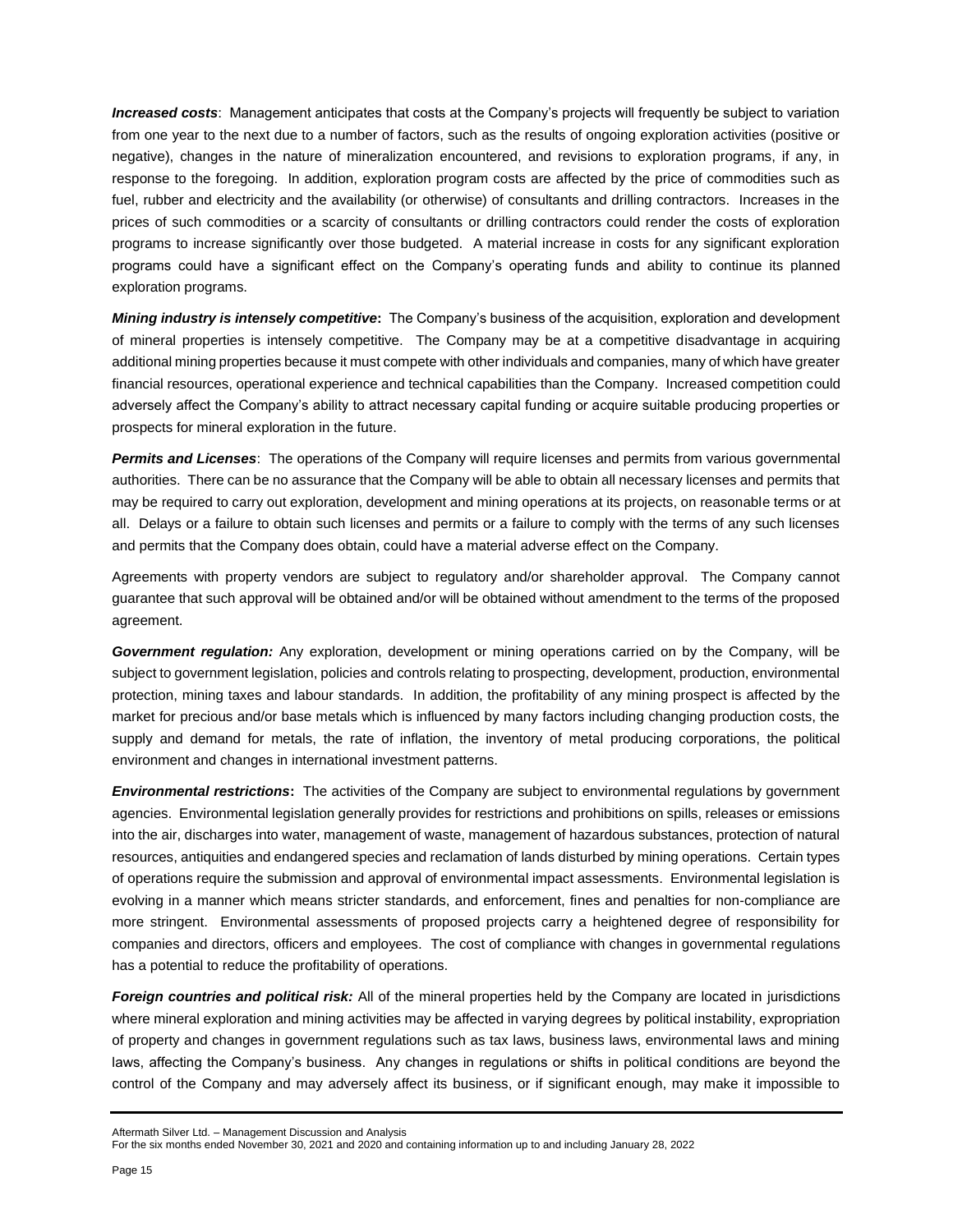**Increased costs**: Management anticipates that costs at the Company's projects will frequently be subject to variation from one year to the next due to a number of factors, such as the results of ongoing exploration activities (positive or negative), changes in the nature of mineralization encountered, and revisions to exploration programs, if any, in response to the foregoing. In addition, exploration program costs are affected by the price of commodities such as fuel, rubber and electricity and the availability (or otherwise) of consultants and drilling contractors. Increases in the prices of such commodities or a scarcity of consultants or drilling contractors could render the costs of exploration programs to increase significantly over those budgeted. A material increase in costs for any significant exploration programs could have a significant effect on the Company's operating funds and ability to continue its planned exploration programs.

*Mining industry is intensely competitive***:** The Company's business of the acquisition, exploration and development of mineral properties is intensely competitive. The Company may be at a competitive disadvantage in acquiring additional mining properties because it must compete with other individuals and companies, many of which have greater financial resources, operational experience and technical capabilities than the Company. Increased competition could adversely affect the Company's ability to attract necessary capital funding or acquire suitable producing properties or prospects for mineral exploration in the future.

*Permits and Licenses*: The operations of the Company will require licenses and permits from various governmental authorities. There can be no assurance that the Company will be able to obtain all necessary licenses and permits that may be required to carry out exploration, development and mining operations at its projects, on reasonable terms or at all. Delays or a failure to obtain such licenses and permits or a failure to comply with the terms of any such licenses and permits that the Company does obtain, could have a material adverse effect on the Company.

Agreements with property vendors are subject to regulatory and/or shareholder approval. The Company cannot guarantee that such approval will be obtained and/or will be obtained without amendment to the terms of the proposed agreement.

*Government regulation:* Any exploration, development or mining operations carried on by the Company, will be subject to government legislation, policies and controls relating to prospecting, development, production, environmental protection, mining taxes and labour standards. In addition, the profitability of any mining prospect is affected by the market for precious and/or base metals which is influenced by many factors including changing production costs, the supply and demand for metals, the rate of inflation, the inventory of metal producing corporations, the political environment and changes in international investment patterns.

*Environmental restrictions***:** The activities of the Company are subject to environmental regulations by government agencies. Environmental legislation generally provides for restrictions and prohibitions on spills, releases or emissions into the air, discharges into water, management of waste, management of hazardous substances, protection of natural resources, antiquities and endangered species and reclamation of lands disturbed by mining operations. Certain types of operations require the submission and approval of environmental impact assessments. Environmental legislation is evolving in a manner which means stricter standards, and enforcement, fines and penalties for non-compliance are more stringent. Environmental assessments of proposed projects carry a heightened degree of responsibility for companies and directors, officers and employees. The cost of compliance with changes in governmental regulations has a potential to reduce the profitability of operations.

*Foreign countries and political risk:* All of the mineral properties held by the Company are located in jurisdictions where mineral exploration and mining activities may be affected in varying degrees by political instability, expropriation of property and changes in government regulations such as tax laws, business laws, environmental laws and mining laws, affecting the Company's business. Any changes in regulations or shifts in political conditions are beyond the control of the Company and may adversely affect its business, or if significant enough, may make it impossible to

Aftermath Silver Ltd. – Management Discussion and Analysis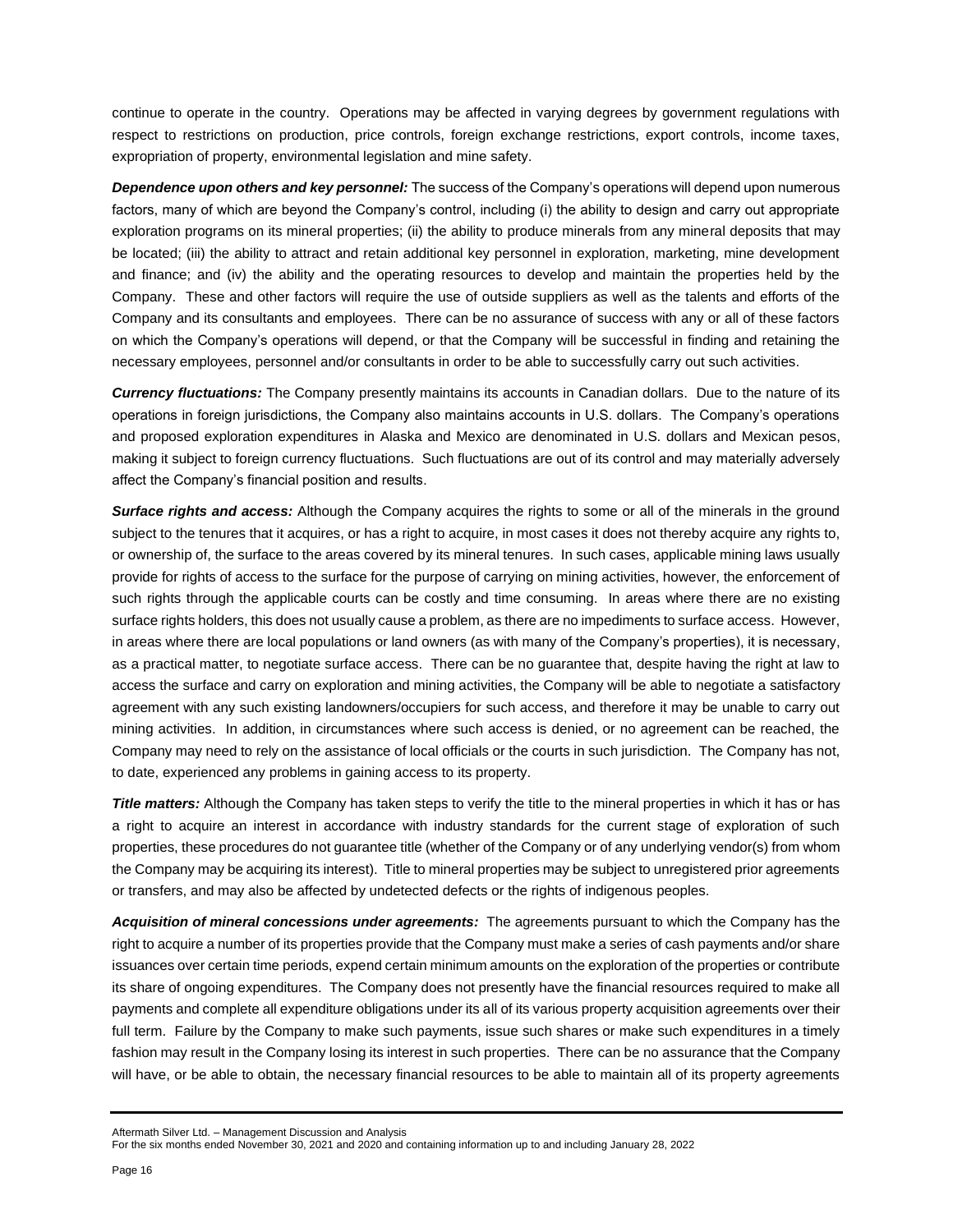continue to operate in the country. Operations may be affected in varying degrees by government regulations with respect to restrictions on production, price controls, foreign exchange restrictions, export controls, income taxes, expropriation of property, environmental legislation and mine safety.

*Dependence upon others and key personnel:* The success of the Company's operations will depend upon numerous factors, many of which are beyond the Company's control, including (i) the ability to design and carry out appropriate exploration programs on its mineral properties; (ii) the ability to produce minerals from any mineral deposits that may be located; (iii) the ability to attract and retain additional key personnel in exploration, marketing, mine development and finance; and (iv) the ability and the operating resources to develop and maintain the properties held by the Company. These and other factors will require the use of outside suppliers as well as the talents and efforts of the Company and its consultants and employees. There can be no assurance of success with any or all of these factors on which the Company's operations will depend, or that the Company will be successful in finding and retaining the necessary employees, personnel and/or consultants in order to be able to successfully carry out such activities.

*Currency fluctuations:* The Company presently maintains its accounts in Canadian dollars. Due to the nature of its operations in foreign jurisdictions, the Company also maintains accounts in U.S. dollars. The Company's operations and proposed exploration expenditures in Alaska and Mexico are denominated in U.S. dollars and Mexican pesos, making it subject to foreign currency fluctuations. Such fluctuations are out of its control and may materially adversely affect the Company's financial position and results.

*Surface rights and access:* Although the Company acquires the rights to some or all of the minerals in the ground subject to the tenures that it acquires, or has a right to acquire, in most cases it does not thereby acquire any rights to, or ownership of, the surface to the areas covered by its mineral tenures. In such cases, applicable mining laws usually provide for rights of access to the surface for the purpose of carrying on mining activities, however, the enforcement of such rights through the applicable courts can be costly and time consuming. In areas where there are no existing surface rights holders, this does not usually cause a problem, as there are no impediments to surface access. However, in areas where there are local populations or land owners (as with many of the Company's properties), it is necessary, as a practical matter, to negotiate surface access. There can be no guarantee that, despite having the right at law to access the surface and carry on exploration and mining activities, the Company will be able to negotiate a satisfactory agreement with any such existing landowners/occupiers for such access, and therefore it may be unable to carry out mining activities. In addition, in circumstances where such access is denied, or no agreement can be reached, the Company may need to rely on the assistance of local officials or the courts in such jurisdiction. The Company has not, to date, experienced any problems in gaining access to its property.

*Title matters:* Although the Company has taken steps to verify the title to the mineral properties in which it has or has a right to acquire an interest in accordance with industry standards for the current stage of exploration of such properties, these procedures do not guarantee title (whether of the Company or of any underlying vendor(s) from whom the Company may be acquiring its interest). Title to mineral properties may be subject to unregistered prior agreements or transfers, and may also be affected by undetected defects or the rights of indigenous peoples.

*Acquisition of mineral concessions under agreements:* The agreements pursuant to which the Company has the right to acquire a number of its properties provide that the Company must make a series of cash payments and/or share issuances over certain time periods, expend certain minimum amounts on the exploration of the properties or contribute its share of ongoing expenditures. The Company does not presently have the financial resources required to make all payments and complete all expenditure obligations under its all of its various property acquisition agreements over their full term. Failure by the Company to make such payments, issue such shares or make such expenditures in a timely fashion may result in the Company losing its interest in such properties. There can be no assurance that the Company will have, or be able to obtain, the necessary financial resources to be able to maintain all of its property agreements

Aftermath Silver Ltd. – Management Discussion and Analysis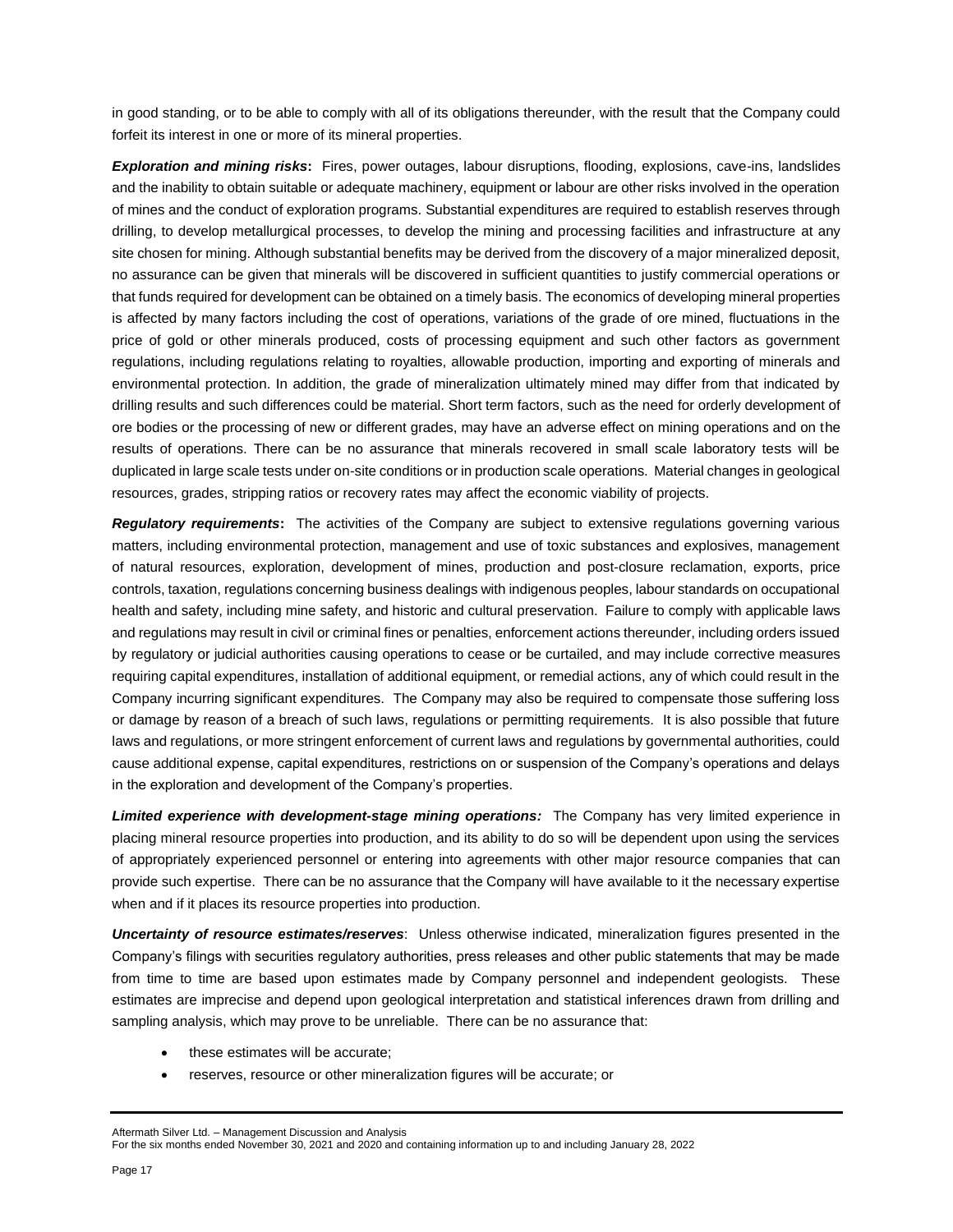in good standing, or to be able to comply with all of its obligations thereunder, with the result that the Company could forfeit its interest in one or more of its mineral properties.

*Exploration and mining risks***:** Fires, power outages, labour disruptions, flooding, explosions, cave-ins, landslides and the inability to obtain suitable or adequate machinery, equipment or labour are other risks involved in the operation of mines and the conduct of exploration programs. Substantial expenditures are required to establish reserves through drilling, to develop metallurgical processes, to develop the mining and processing facilities and infrastructure at any site chosen for mining. Although substantial benefits may be derived from the discovery of a major mineralized deposit, no assurance can be given that minerals will be discovered in sufficient quantities to justify commercial operations or that funds required for development can be obtained on a timely basis. The economics of developing mineral properties is affected by many factors including the cost of operations, variations of the grade of ore mined, fluctuations in the price of gold or other minerals produced, costs of processing equipment and such other factors as government regulations, including regulations relating to royalties, allowable production, importing and exporting of minerals and environmental protection. In addition, the grade of mineralization ultimately mined may differ from that indicated by drilling results and such differences could be material. Short term factors, such as the need for orderly development of ore bodies or the processing of new or different grades, may have an adverse effect on mining operations and on the results of operations. There can be no assurance that minerals recovered in small scale laboratory tests will be duplicated in large scale tests under on-site conditions or in production scale operations. Material changes in geological resources, grades, stripping ratios or recovery rates may affect the economic viability of projects.

*Regulatory requirements***:** The activities of the Company are subject to extensive regulations governing various matters, including environmental protection, management and use of toxic substances and explosives, management of natural resources, exploration, development of mines, production and post-closure reclamation, exports, price controls, taxation, regulations concerning business dealings with indigenous peoples, labour standards on occupational health and safety, including mine safety, and historic and cultural preservation. Failure to comply with applicable laws and regulations may result in civil or criminal fines or penalties, enforcement actions thereunder, including orders issued by regulatory or judicial authorities causing operations to cease or be curtailed, and may include corrective measures requiring capital expenditures, installation of additional equipment, or remedial actions, any of which could result in the Company incurring significant expenditures. The Company may also be required to compensate those suffering loss or damage by reason of a breach of such laws, regulations or permitting requirements. It is also possible that future laws and regulations, or more stringent enforcement of current laws and regulations by governmental authorities, could cause additional expense, capital expenditures, restrictions on or suspension of the Company's operations and delays in the exploration and development of the Company's properties.

*Limited experience with development-stage mining operations:* The Company has very limited experience in placing mineral resource properties into production, and its ability to do so will be dependent upon using the services of appropriately experienced personnel or entering into agreements with other major resource companies that can provide such expertise. There can be no assurance that the Company will have available to it the necessary expertise when and if it places its resource properties into production.

*Uncertainty of resource estimates/reserves*: Unless otherwise indicated, mineralization figures presented in the Company's filings with securities regulatory authorities, press releases and other public statements that may be made from time to time are based upon estimates made by Company personnel and independent geologists. These estimates are imprecise and depend upon geological interpretation and statistical inferences drawn from drilling and sampling analysis, which may prove to be unreliable. There can be no assurance that:

- these estimates will be accurate;
- reserves, resource or other mineralization figures will be accurate; or

#### Aftermath Silver Ltd. – Management Discussion and Analysis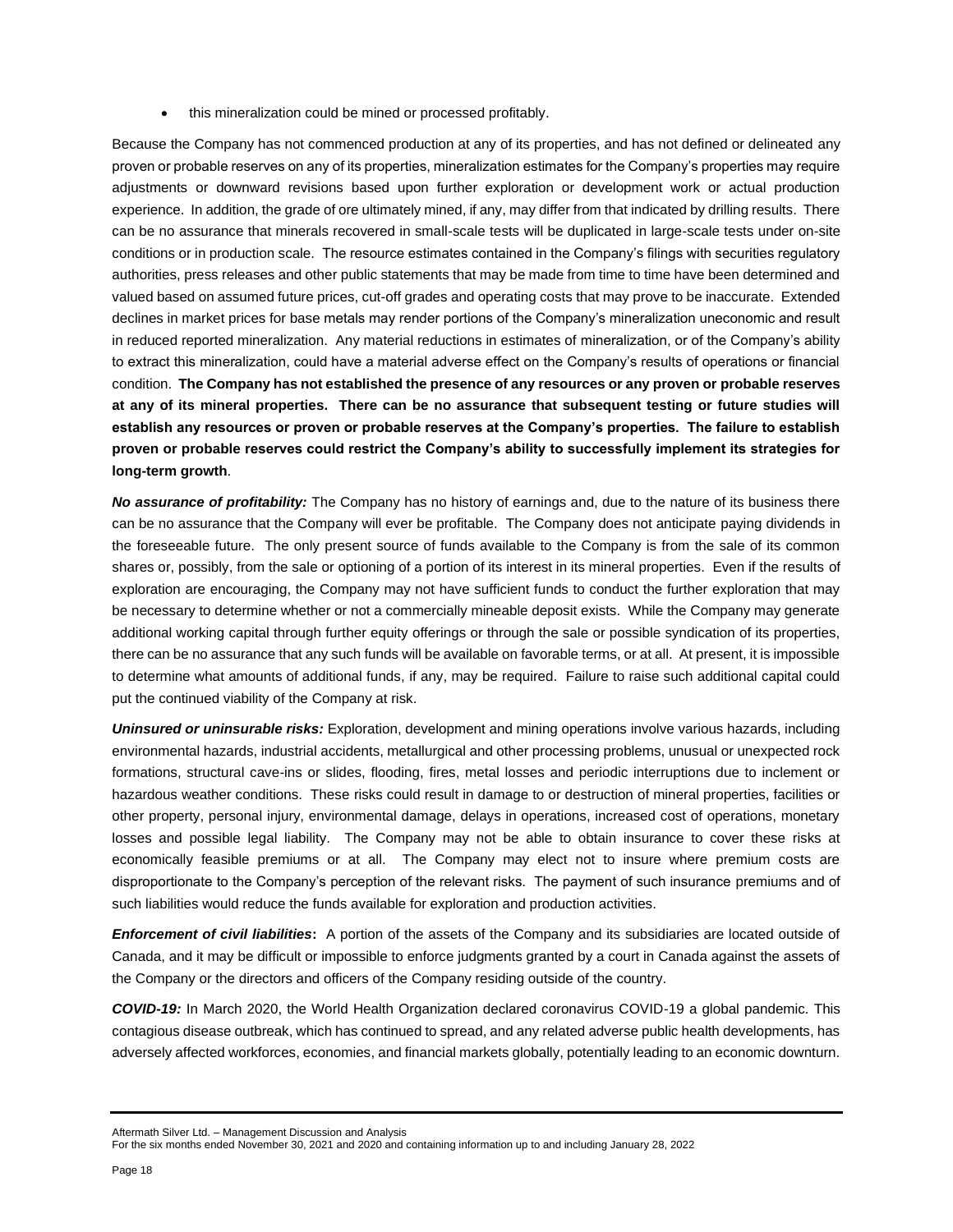• this mineralization could be mined or processed profitably.

Because the Company has not commenced production at any of its properties, and has not defined or delineated any proven or probable reserves on any of its properties, mineralization estimates for the Company's properties may require adjustments or downward revisions based upon further exploration or development work or actual production experience. In addition, the grade of ore ultimately mined, if any, may differ from that indicated by drilling results. There can be no assurance that minerals recovered in small-scale tests will be duplicated in large-scale tests under on-site conditions or in production scale. The resource estimates contained in the Company's filings with securities regulatory authorities, press releases and other public statements that may be made from time to time have been determined and valued based on assumed future prices, cut-off grades and operating costs that may prove to be inaccurate. Extended declines in market prices for base metals may render portions of the Company's mineralization uneconomic and result in reduced reported mineralization. Any material reductions in estimates of mineralization, or of the Company's ability to extract this mineralization, could have a material adverse effect on the Company's results of operations or financial condition. **The Company has not established the presence of any resources or any proven or probable reserves at any of its mineral properties. There can be no assurance that subsequent testing or future studies will establish any resources or proven or probable reserves at the Company's properties. The failure to establish proven or probable reserves could restrict the Company's ability to successfully implement its strategies for long-term growth**.

*No assurance of profitability:* The Company has no history of earnings and, due to the nature of its business there can be no assurance that the Company will ever be profitable. The Company does not anticipate paying dividends in the foreseeable future. The only present source of funds available to the Company is from the sale of its common shares or, possibly, from the sale or optioning of a portion of its interest in its mineral properties. Even if the results of exploration are encouraging, the Company may not have sufficient funds to conduct the further exploration that may be necessary to determine whether or not a commercially mineable deposit exists. While the Company may generate additional working capital through further equity offerings or through the sale or possible syndication of its properties, there can be no assurance that any such funds will be available on favorable terms, or at all. At present, it is impossible to determine what amounts of additional funds, if any, may be required. Failure to raise such additional capital could put the continued viability of the Company at risk.

*Uninsured or uninsurable risks:* Exploration, development and mining operations involve various hazards, including environmental hazards, industrial accidents, metallurgical and other processing problems, unusual or unexpected rock formations, structural cave-ins or slides, flooding, fires, metal losses and periodic interruptions due to inclement or hazardous weather conditions. These risks could result in damage to or destruction of mineral properties, facilities or other property, personal injury, environmental damage, delays in operations, increased cost of operations, monetary losses and possible legal liability. The Company may not be able to obtain insurance to cover these risks at economically feasible premiums or at all. The Company may elect not to insure where premium costs are disproportionate to the Company's perception of the relevant risks. The payment of such insurance premiums and of such liabilities would reduce the funds available for exploration and production activities.

*Enforcement of civil liabilities***:** A portion of the assets of the Company and its subsidiaries are located outside of Canada, and it may be difficult or impossible to enforce judgments granted by a court in Canada against the assets of the Company or the directors and officers of the Company residing outside of the country.

*COVID-19:* In March 2020, the World Health Organization declared coronavirus COVID-19 a global pandemic. This contagious disease outbreak, which has continued to spread, and any related adverse public health developments, has adversely affected workforces, economies, and financial markets globally, potentially leading to an economic downturn.

Aftermath Silver Ltd. – Management Discussion and Analysis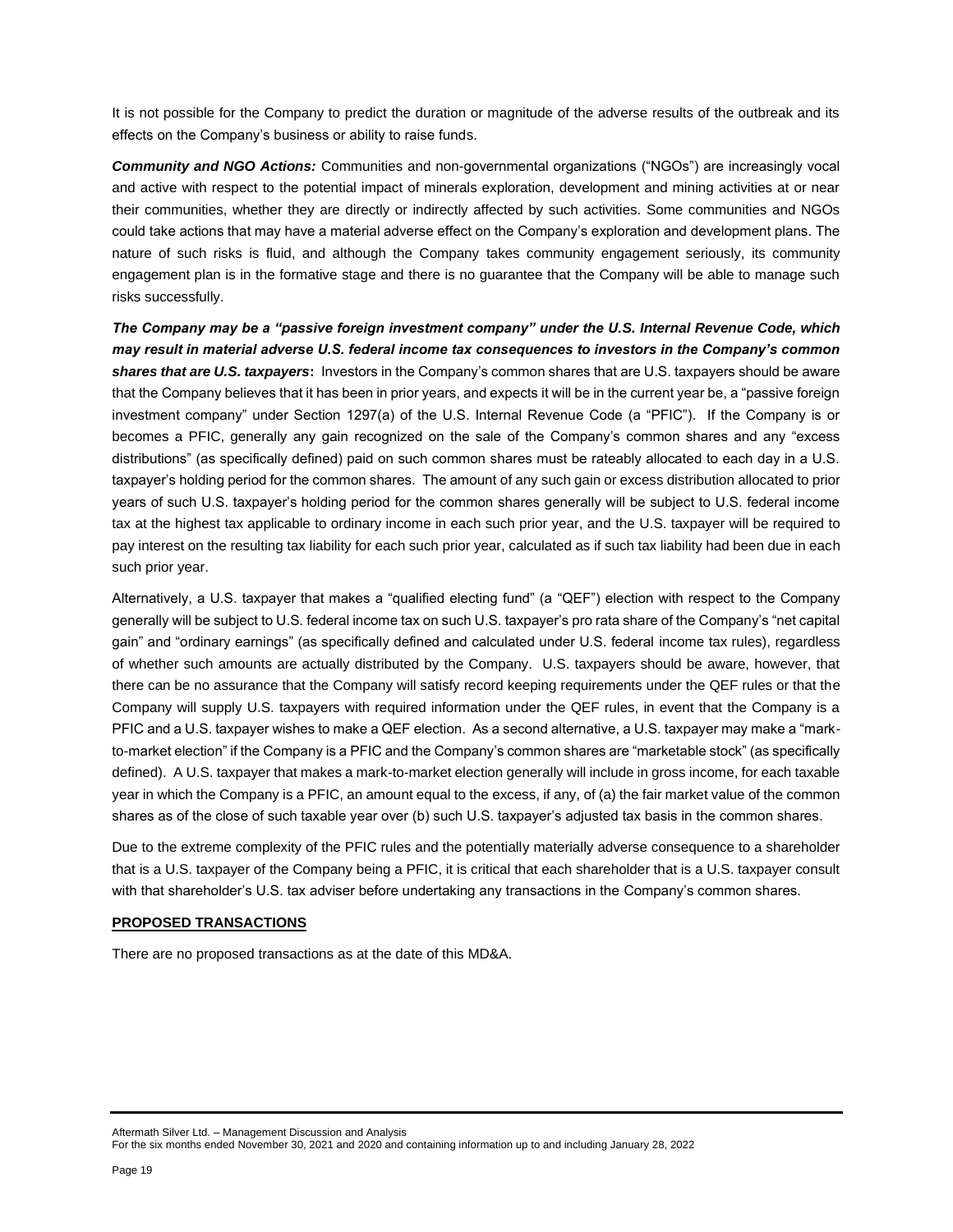It is not possible for the Company to predict the duration or magnitude of the adverse results of the outbreak and its effects on the Company's business or ability to raise funds.

*Community and NGO Actions:* Communities and non-governmental organizations ("NGOs") are increasingly vocal and active with respect to the potential impact of minerals exploration, development and mining activities at or near their communities, whether they are directly or indirectly affected by such activities. Some communities and NGOs could take actions that may have a material adverse effect on the Company's exploration and development plans. The nature of such risks is fluid, and although the Company takes community engagement seriously, its community engagement plan is in the formative stage and there is no guarantee that the Company will be able to manage such risks successfully.

*The Company may be a "passive foreign investment company" under the U.S. Internal Revenue Code, which may result in material adverse U.S. federal income tax consequences to investors in the Company's common shares that are U.S. taxpayers***:** Investors in the Company's common shares that are U.S. taxpayers should be aware that the Company believes that it has been in prior years, and expects it will be in the current year be, a "passive foreign investment company" under Section 1297(a) of the U.S. Internal Revenue Code (a "PFIC"). If the Company is or becomes a PFIC, generally any gain recognized on the sale of the Company's common shares and any "excess distributions" (as specifically defined) paid on such common shares must be rateably allocated to each day in a U.S. taxpayer's holding period for the common shares. The amount of any such gain or excess distribution allocated to prior years of such U.S. taxpayer's holding period for the common shares generally will be subject to U.S. federal income tax at the highest tax applicable to ordinary income in each such prior year, and the U.S. taxpayer will be required to pay interest on the resulting tax liability for each such prior year, calculated as if such tax liability had been due in each such prior year.

Alternatively, a U.S. taxpayer that makes a "qualified electing fund" (a "QEF") election with respect to the Company generally will be subject to U.S. federal income tax on such U.S. taxpayer's pro rata share of the Company's "net capital gain" and "ordinary earnings" (as specifically defined and calculated under U.S. federal income tax rules), regardless of whether such amounts are actually distributed by the Company. U.S. taxpayers should be aware, however, that there can be no assurance that the Company will satisfy record keeping requirements under the QEF rules or that the Company will supply U.S. taxpayers with required information under the QEF rules, in event that the Company is a PFIC and a U.S. taxpayer wishes to make a QEF election. As a second alternative, a U.S. taxpayer may make a "markto-market election" if the Company is a PFIC and the Company's common shares are "marketable stock" (as specifically defined). A U.S. taxpayer that makes a mark-to-market election generally will include in gross income, for each taxable year in which the Company is a PFIC, an amount equal to the excess, if any, of (a) the fair market value of the common shares as of the close of such taxable year over (b) such U.S. taxpayer's adjusted tax basis in the common shares.

Due to the extreme complexity of the PFIC rules and the potentially materially adverse consequence to a shareholder that is a U.S. taxpayer of the Company being a PFIC, it is critical that each shareholder that is a U.S. taxpayer consult with that shareholder's U.S. tax adviser before undertaking any transactions in the Company's common shares.

### **PROPOSED TRANSACTIONS**

There are no proposed transactions as at the date of this MD&A.

Aftermath Silver Ltd. – Management Discussion and Analysis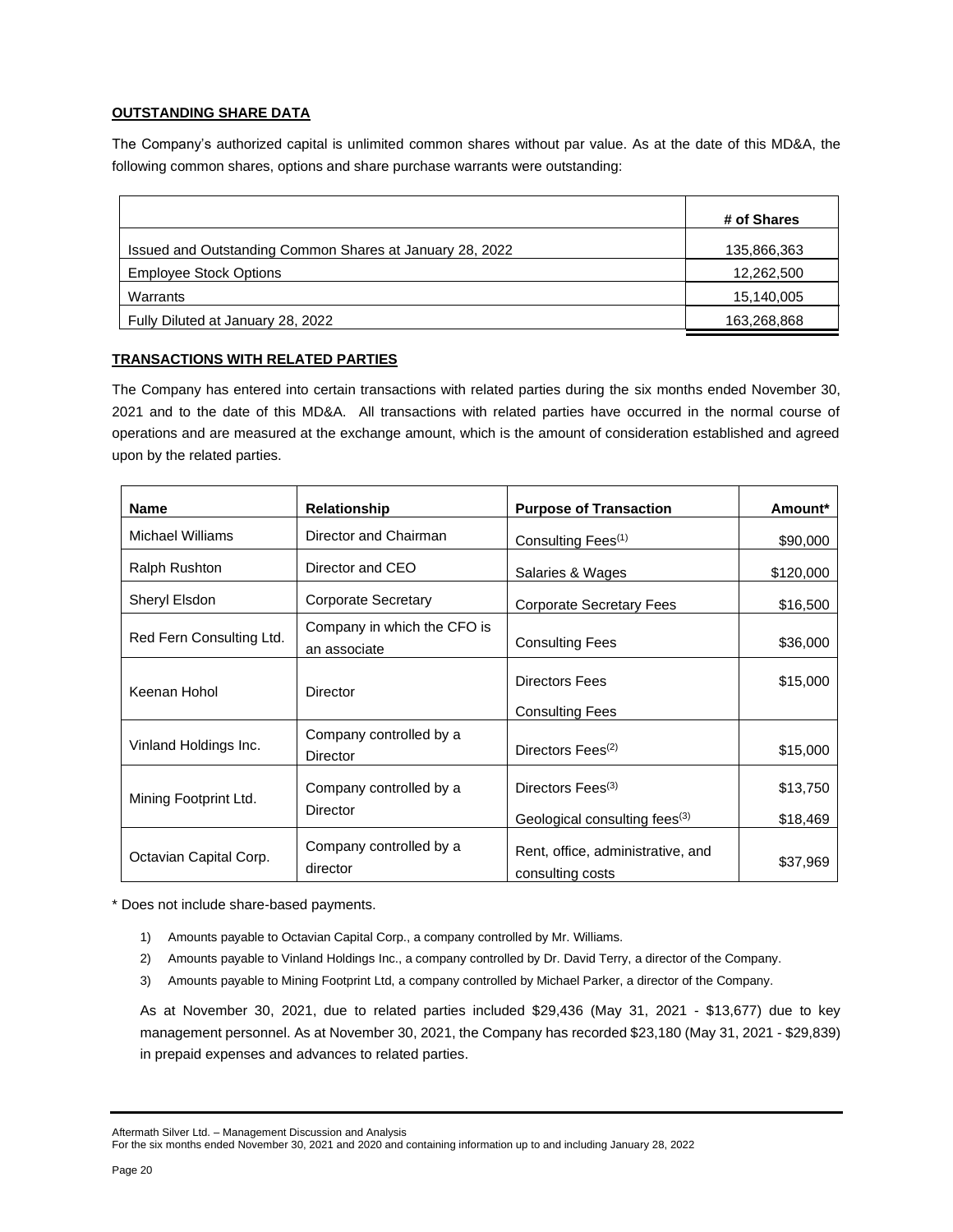# **OUTSTANDING SHARE DATA**

The Company's authorized capital is unlimited common shares without par value. As at the date of this MD&A, the following common shares, options and share purchase warrants were outstanding:

|                                                          | # of Shares |
|----------------------------------------------------------|-------------|
| Issued and Outstanding Common Shares at January 28, 2022 | 135,866,363 |
| <b>Employee Stock Options</b>                            | 12,262,500  |
| Warrants                                                 | 15,140,005  |
| Fully Diluted at January 28, 2022                        | 163,268,868 |

### **TRANSACTIONS WITH RELATED PARTIES**

The Company has entered into certain transactions with related parties during the six months ended November 30, 2021 and to the date of this MD&A. All transactions with related parties have occurred in the normal course of operations and are measured at the exchange amount, which is the amount of consideration established and agreed upon by the related parties.

| <b>Name</b>              | Relationship                                | <b>Purpose of Transaction</b>                         | Amount*   |
|--------------------------|---------------------------------------------|-------------------------------------------------------|-----------|
| Michael Williams         | Director and Chairman                       | Consulting Fees <sup>(1)</sup>                        | \$90,000  |
| Ralph Rushton            | Director and CEO                            | Salaries & Wages                                      | \$120,000 |
| Sheryl Elsdon            | <b>Corporate Secretary</b>                  | <b>Corporate Secretary Fees</b>                       | \$16,500  |
| Red Fern Consulting Ltd. | Company in which the CFO is<br>an associate | <b>Consulting Fees</b>                                | \$36,000  |
| Keenan Hohol             | Director                                    | <b>Directors Fees</b>                                 | \$15,000  |
|                          |                                             | <b>Consulting Fees</b>                                |           |
| Vinland Holdings Inc.    | Company controlled by a<br>Director         | Directors Fees <sup>(2)</sup>                         | \$15,000  |
| Mining Footprint Ltd.    | Company controlled by a                     | Directors Fees <sup>(3)</sup>                         | \$13,750  |
|                          | Director                                    | Geological consulting fees <sup>(3)</sup>             | \$18,469  |
| Octavian Capital Corp.   | Company controlled by a<br>director         | Rent, office, administrative, and<br>consulting costs | \$37,969  |

\* Does not include share-based payments.

- 1) Amounts payable to Octavian Capital Corp., a company controlled by Mr. Williams.
- 2) Amounts payable to Vinland Holdings Inc., a company controlled by Dr. David Terry, a director of the Company.
- 3) Amounts payable to Mining Footprint Ltd, a company controlled by Michael Parker, a director of the Company.

As at November 30, 2021, due to related parties included \$29,436 (May 31, 2021 - \$13,677) due to key management personnel. As at November 30, 2021, the Company has recorded \$23,180 (May 31, 2021 - \$29,839) in prepaid expenses and advances to related parties.

Aftermath Silver Ltd. – Management Discussion and Analysis

For the six months ended November 30, 2021 and 2020 and containing information up to and including January 28, 2022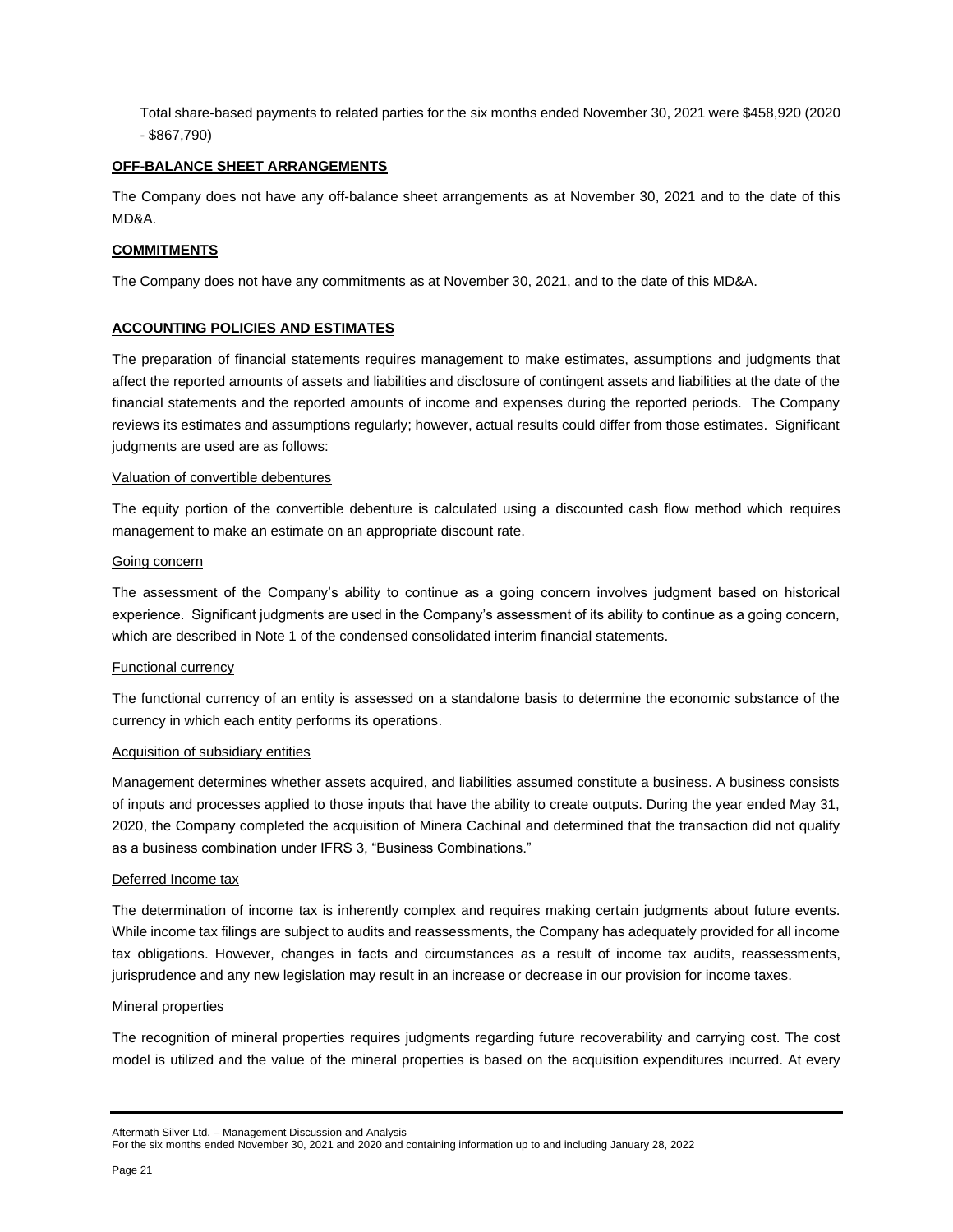Total share-based payments to related parties for the six months ended November 30, 2021 were \$458,920 (2020 - \$867,790)

### **OFF-BALANCE SHEET ARRANGEMENTS**

The Company does not have any off-balance sheet arrangements as at November 30, 2021 and to the date of this MD&A.

### **COMMITMENTS**

The Company does not have any commitments as at November 30, 2021, and to the date of this MD&A.

### **ACCOUNTING POLICIES AND ESTIMATES**

The preparation of financial statements requires management to make estimates, assumptions and judgments that affect the reported amounts of assets and liabilities and disclosure of contingent assets and liabilities at the date of the financial statements and the reported amounts of income and expenses during the reported periods. The Company reviews its estimates and assumptions regularly; however, actual results could differ from those estimates. Significant judgments are used are as follows:

### Valuation of convertible debentures

The equity portion of the convertible debenture is calculated using a discounted cash flow method which requires management to make an estimate on an appropriate discount rate.

#### Going concern

The assessment of the Company's ability to continue as a going concern involves judgment based on historical experience. Significant judgments are used in the Company's assessment of its ability to continue as a going concern, which are described in Note 1 of the condensed consolidated interim financial statements.

### Functional currency

The functional currency of an entity is assessed on a standalone basis to determine the economic substance of the currency in which each entity performs its operations.

### Acquisition of subsidiary entities

Management determines whether assets acquired, and liabilities assumed constitute a business. A business consists of inputs and processes applied to those inputs that have the ability to create outputs. During the year ended May 31, 2020, the Company completed the acquisition of Minera Cachinal and determined that the transaction did not qualify as a business combination under IFRS 3, "Business Combinations."

### Deferred Income tax

The determination of income tax is inherently complex and requires making certain judgments about future events. While income tax filings are subject to audits and reassessments, the Company has adequately provided for all income tax obligations. However, changes in facts and circumstances as a result of income tax audits, reassessments, jurisprudence and any new legislation may result in an increase or decrease in our provision for income taxes.

### Mineral properties

The recognition of mineral properties requires judgments regarding future recoverability and carrying cost. The cost model is utilized and the value of the mineral properties is based on the acquisition expenditures incurred. At every

Aftermath Silver Ltd. – Management Discussion and Analysis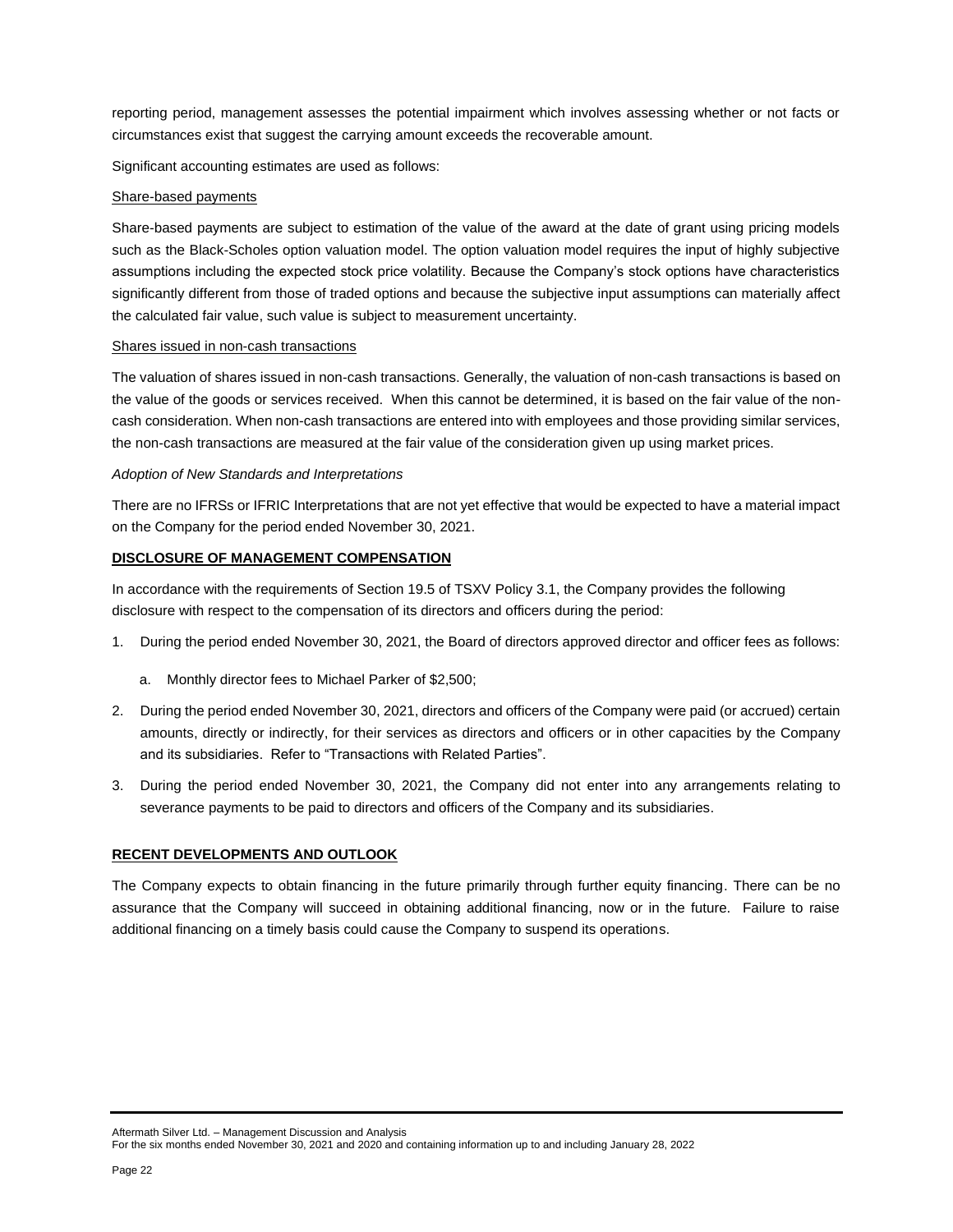reporting period, management assesses the potential impairment which involves assessing whether or not facts or circumstances exist that suggest the carrying amount exceeds the recoverable amount.

Significant accounting estimates are used as follows:

### Share-based payments

Share-based payments are subject to estimation of the value of the award at the date of grant using pricing models such as the Black-Scholes option valuation model. The option valuation model requires the input of highly subjective assumptions including the expected stock price volatility. Because the Company's stock options have characteristics significantly different from those of traded options and because the subjective input assumptions can materially affect the calculated fair value, such value is subject to measurement uncertainty.

#### Shares issued in non-cash transactions

The valuation of shares issued in non-cash transactions. Generally, the valuation of non-cash transactions is based on the value of the goods or services received. When this cannot be determined, it is based on the fair value of the noncash consideration. When non-cash transactions are entered into with employees and those providing similar services, the non-cash transactions are measured at the fair value of the consideration given up using market prices.

#### *Adoption of New Standards and Interpretations*

There are no IFRSs or IFRIC Interpretations that are not yet effective that would be expected to have a material impact on the Company for the period ended November 30, 2021.

#### **DISCLOSURE OF MANAGEMENT COMPENSATION**

In accordance with the requirements of Section 19.5 of TSXV Policy 3.1, the Company provides the following disclosure with respect to the compensation of its directors and officers during the period:

- 1. During the period ended November 30, 2021, the Board of directors approved director and officer fees as follows:
	- a. Monthly director fees to Michael Parker of \$2,500;
- 2. During the period ended November 30, 2021, directors and officers of the Company were paid (or accrued) certain amounts, directly or indirectly, for their services as directors and officers or in other capacities by the Company and its subsidiaries. Refer to "Transactions with Related Parties".
- 3. During the period ended November 30, 2021, the Company did not enter into any arrangements relating to severance payments to be paid to directors and officers of the Company and its subsidiaries.

### **RECENT DEVELOPMENTS AND OUTLOOK**

The Company expects to obtain financing in the future primarily through further equity financing. There can be no assurance that the Company will succeed in obtaining additional financing, now or in the future. Failure to raise additional financing on a timely basis could cause the Company to suspend its operations.

Aftermath Silver Ltd. – Management Discussion and Analysis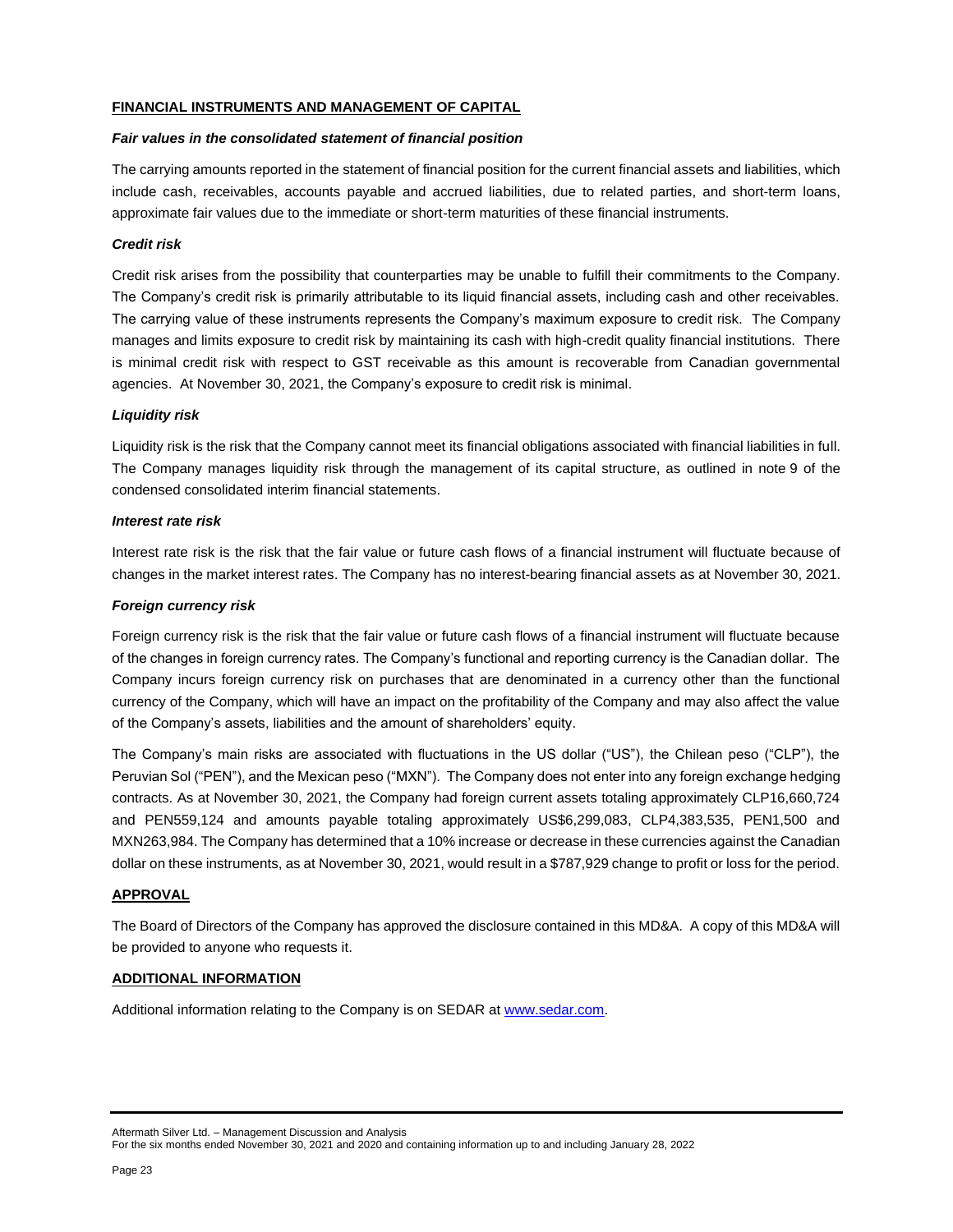### **FINANCIAL INSTRUMENTS AND MANAGEMENT OF CAPITAL**

#### *Fair values in the consolidated statement of financial position*

The carrying amounts reported in the statement of financial position for the current financial assets and liabilities, which include cash, receivables, accounts payable and accrued liabilities, due to related parties, and short-term loans, approximate fair values due to the immediate or short-term maturities of these financial instruments.

### *Credit risk*

Credit risk arises from the possibility that counterparties may be unable to fulfill their commitments to the Company. The Company's credit risk is primarily attributable to its liquid financial assets, including cash and other receivables. The carrying value of these instruments represents the Company's maximum exposure to credit risk. The Company manages and limits exposure to credit risk by maintaining its cash with high-credit quality financial institutions. There is minimal credit risk with respect to GST receivable as this amount is recoverable from Canadian governmental agencies. At November 30, 2021, the Company's exposure to credit risk is minimal.

### *Liquidity risk*

Liquidity risk is the risk that the Company cannot meet its financial obligations associated with financial liabilities in full. The Company manages liquidity risk through the management of its capital structure, as outlined in note 9 of the condensed consolidated interim financial statements.

### *Interest rate risk*

Interest rate risk is the risk that the fair value or future cash flows of a financial instrument will fluctuate because of changes in the market interest rates. The Company has no interest-bearing financial assets as at November 30, 2021.

### *Foreign currency risk*

Foreign currency risk is the risk that the fair value or future cash flows of a financial instrument will fluctuate because of the changes in foreign currency rates. The Company's functional and reporting currency is the Canadian dollar. The Company incurs foreign currency risk on purchases that are denominated in a currency other than the functional currency of the Company, which will have an impact on the profitability of the Company and may also affect the value of the Company's assets, liabilities and the amount of shareholders' equity.

The Company's main risks are associated with fluctuations in the US dollar ("US"), the Chilean peso ("CLP"), the Peruvian Sol ("PEN"), and the Mexican peso ("MXN"). The Company does not enter into any foreign exchange hedging contracts. As at November 30, 2021, the Company had foreign current assets totaling approximately CLP16,660,724 and PEN559,124 and amounts payable totaling approximately US\$6,299,083, CLP4,383,535, PEN1,500 and MXN263,984. The Company has determined that a 10% increase or decrease in these currencies against the Canadian dollar on these instruments, as at November 30, 2021, would result in a \$787,929 change to profit or loss for the period.

### **APPROVAL**

The Board of Directors of the Company has approved the disclosure contained in this MD&A. A copy of this MD&A will be provided to anyone who requests it.

### **ADDITIONAL INFORMATION**

Additional information relating to the Company is on SEDAR at [www.sedar.com.](http://www.sedar.com/)

Aftermath Silver Ltd. – Management Discussion and Analysis